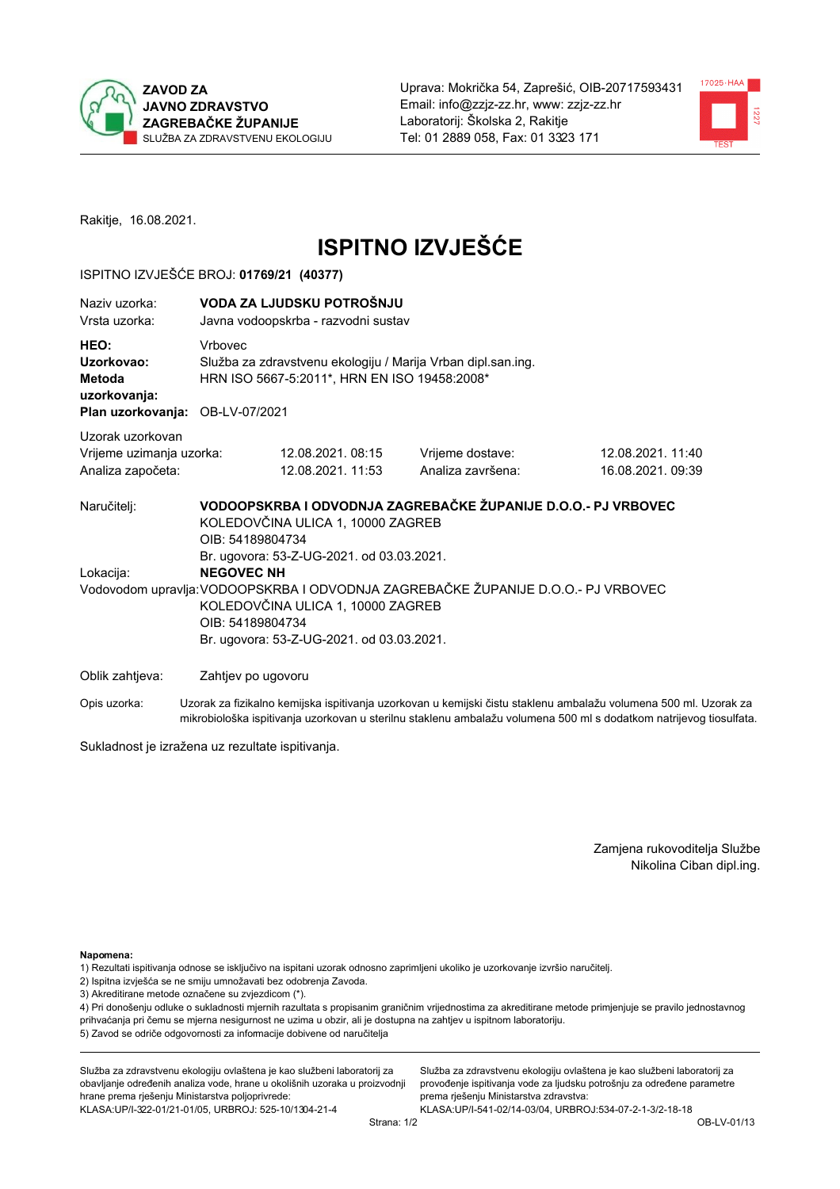



Rakitje, 16.08.2021.

# **ISPITNO IZVJEŠĆE**

## ISPITNO IZVJEŠĆE BROJ: 01769/21 (40377)

| Naziv uzorka:<br>Vrsta uzorka:                                                  |                    | VODA ZA LJUDSKU POTROŠNJU<br>Javna vodoopskrba - razvodni sustav                                                                                                                                                                                          |                                                               |                                       |  |  |
|---------------------------------------------------------------------------------|--------------------|-----------------------------------------------------------------------------------------------------------------------------------------------------------------------------------------------------------------------------------------------------------|---------------------------------------------------------------|---------------------------------------|--|--|
| HEO:<br>Uzorkovao:<br>Metoda<br>uzorkovanja:<br>Plan uzorkovanja: OB-LV-07/2021 | Vrbovec            | Služba za zdravstvenu ekologiju / Marija Vrban dipl.san.ing.<br>HRN ISO 5667-5:2011*, HRN EN ISO 19458:2008*                                                                                                                                              |                                                               |                                       |  |  |
| Uzorak uzorkovan                                                                |                    |                                                                                                                                                                                                                                                           |                                                               |                                       |  |  |
| Vrijeme uzimanja uzorka:<br>Analiza započeta:                                   |                    | 12.08.2021.08:15<br>12.08.2021. 11:53                                                                                                                                                                                                                     | Vrijeme dostave:<br>Analiza završena:                         | 12.08.2021. 11:40<br>16.08.2021.09:39 |  |  |
| Naručitelj:                                                                     | OIB: 54189804734   | KOLEDOVČINA ULICA 1, 10000 ZAGREB                                                                                                                                                                                                                         | VODOOPSKRBA I ODVODNJA ZAGREBAČKE ŽUPANIJE D.O.O.- PJ VRBOVEC |                                       |  |  |
| Lokacija:                                                                       |                    | Br. ugovora: 53-Z-UG-2021. od 03.03.2021.<br><b>NEGOVEC NH</b><br>Vodovodom upravlja: VODOOPSKRBA I ODVODNJA ZAGREBAČKE ŽUPANIJE D.O.O.- PJ VRBOVEC<br>KOLEDOVČINA ULICA 1, 10000 ZAGREB<br>OIB: 54189804734<br>Br. ugovora: 53-Z-UG-2021. od 03.03.2021. |                                                               |                                       |  |  |
| Oblik zahtjeva:                                                                 | Zahtjev po ugovoru |                                                                                                                                                                                                                                                           |                                                               |                                       |  |  |
|                                                                                 |                    |                                                                                                                                                                                                                                                           |                                                               |                                       |  |  |

Opis uzorka: Uzorak za fizikalno kemijska ispitivanja uzorkovan u kemijski čistu staklenu ambalažu volumena 500 ml. Uzorak za mikrobiološka ispitivanja uzorkovan u sterilnu staklenu ambalažu volumena 500 ml s dodatkom natrijevog tiosulfata.

Sukladnost je izražena uz rezultate ispitivanja.

Zamjena rukovoditelja Službe Nikolina Ciban dipl.ing.

Napomena:

1) Rezultati ispitivanja odnose se isključivo na ispitani uzorak odnosno zaprimljeni ukoliko je uzorkovanje izvršio naručitelj.

- 2) Ispitna izvješća se ne smiju umnožavati bez odobrenja Zavoda.
- 3) Akreditirane metode označene su zvjezdicom (\*).

4) Pri donošenju odluke o sukladnosti mjernih razultata s propisanim graničnim vrijednostima za akreditirane metode primjenjuje se pravilo jednostavnog prihvaćanja pri čemu se mjerna nesigurnost ne uzima u obzir, ali je dostupna na zahtjev u ispitnom laboratoriju. 5) Zavod se odriče odgovornosti za informacije dobivene od naručitelja

Služba za zdravstvenu ekologiju ovlaštena je kao službeni laboratorij za obavljanje određenih analiza vode, hrane u okolišnih uzoraka u proizvodnji hrane prema rješenju Ministarstva poljoprivrede: KLASA:UP/I-322-01/21-01/05, URBROJ: 525-10/1304-21-4

Služba za zdravstvenu ekologiju ovlaštena je kao službeni laboratorij za provođenje ispitivanja vode za ljudsku potrošnju za određene parametre prema rješenju Ministarstva zdravstva: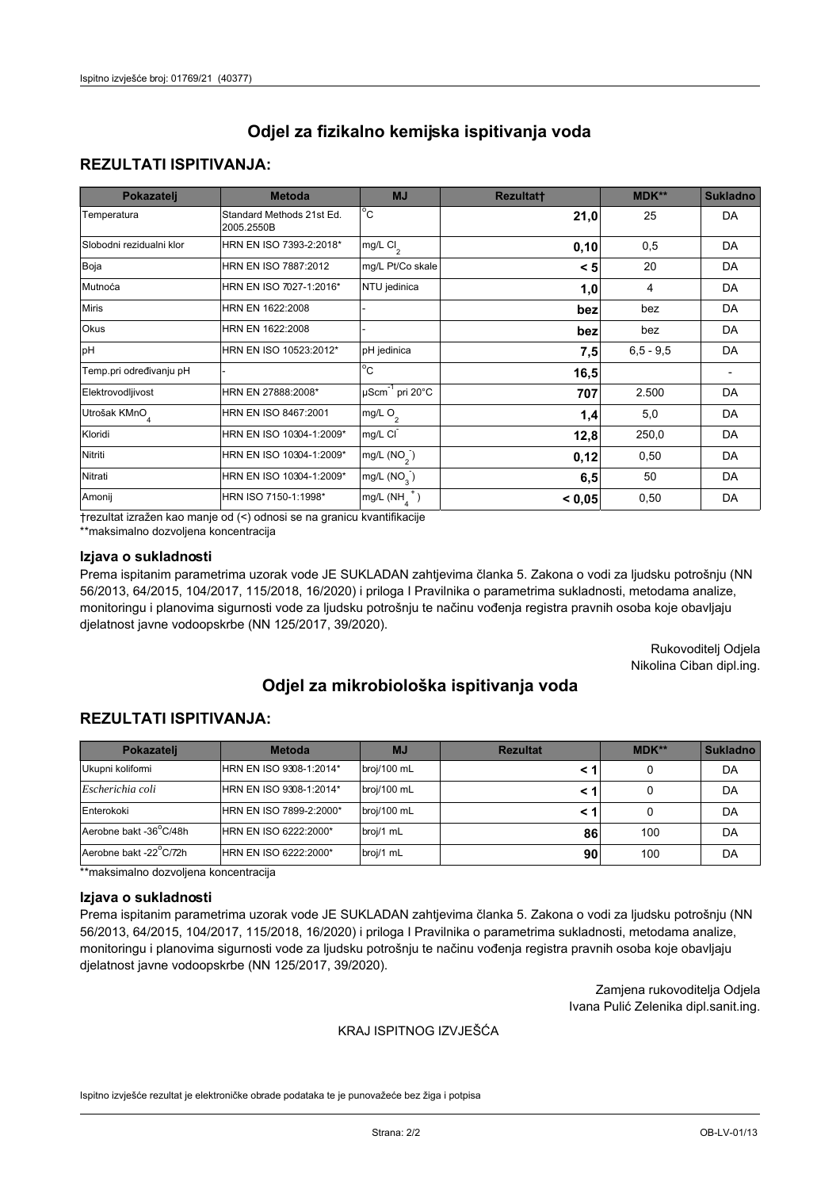## **REZULTATI ISPITIVANJA:**

| Pokazatelj                | <b>Metoda</b>                           | <b>MJ</b>                        | <b>Rezultatt</b> | <b>MDK**</b> | <b>Sukladno</b> |
|---------------------------|-----------------------------------------|----------------------------------|------------------|--------------|-----------------|
| Temperatura               | Standard Methods 21st Ed.<br>2005.2550B | $^{\circ}$ C                     | 21,0             | 25           | DA              |
| Slobodni rezidualni klor  | HRN EN ISO 7393-2:2018*                 | mg/L $Cl2$                       | 0,10             | 0,5          | DA              |
| Boja                      | HRN EN ISO 7887:2012                    | mg/L Pt/Co skale                 | < 5              | 20           | DA              |
| Mutnoća                   | HRN EN ISO 7027-1:2016*                 | NTU jedinica                     | 1,0              | 4            | DA              |
| <b>Miris</b>              | HRN EN 1622:2008                        |                                  | bez              | bez          | DA              |
| Okus                      | HRN EN 1622:2008                        |                                  | bez              | bez          | DA              |
| pH                        | HRN EN ISO 10523:2012*                  | pH jedinica                      | 7,5              | $6.5 - 9.5$  | DA              |
| Temp.pri određivanju pH   |                                         | $\overline{c}$                   | 16,5             |              |                 |
| Elektrovodljivost         | HRN EN 27888:2008*                      | $\mu$ Scm <sup>-1</sup> pri 20°C | 707              | 2.500        | DA              |
| Utrošak KMnO <sub>4</sub> | HRN EN ISO 8467:2001                    | mg/L O <sub>2</sub>              | 1,4              | 5,0          | DA              |
| Kloridi                   | HRN EN ISO 10304-1:2009*                | mg/L CI                          | 12,8             | 250,0        | DA              |
| Nitriti                   | HRN EN ISO 10304-1:2009*                | mg/L $(NO2)$                     | 0,12             | 0,50         | DA              |
| Nitrati                   | HRN EN ISO 10304-1:2009*                | mg/L (NO <sub>3</sub> )          | 6,5              | 50           | DA              |
| Amonij                    | HRN ISO 7150-1:1998*                    | mg/L $(NH_A^+)$                  | < 0,05           | 0,50         | DA              |

trezultat izražen kao manje od (<) odnosi se na granicu kvantifikacije

\*\*maksimalno dozvoljena koncentracija

## Izjava o sukladnosti

Prema ispitanim parametrima uzorak vode JE SUKLADAN zahtjevima članka 5. Zakona o vodi za ljudsku potrošnju (NN 56/2013, 64/2015, 104/2017, 115/2018, 16/2020) i priloga I Pravilnika o parametrima sukladnosti, metodama analize, monitoringu i planovima sigurnosti vode za ljudsku potrošnju te načinu vođenja registra pravnih osoba koje obavljaju djelatnost javne vodoopskrbe (NN 125/2017, 39/2020).

> Rukovoditelj Odjela Nikolina Ciban dipl.ing.

# Odjel za mikrobiološka ispitivanja voda

## **REZULTATI ISPITIVANJA:**

| Pokazateli             | <b>Metoda</b>           | <b>MJ</b>   | <b>Rezultat</b> | $MDK**$ | <b>Sukladno</b> |
|------------------------|-------------------------|-------------|-----------------|---------|-----------------|
| Ukupni kolifomi        | HRN EN ISO 9308-1:2014* | broj/100 mL |                 |         | DA              |
| Escherichia coli       | HRN EN ISO 9308-1:2014* | broj/100 mL |                 |         | DA              |
| Enterokoki             | HRN EN ISO 7899-2:2000* | broj/100 mL |                 |         | DA              |
| Aerobne bakt -36 C/48h | HRN EN ISO 6222:2000*   | broj/1 mL   | 86              | 100     | DA              |
| Aerobne bakt -22 C/72h | HRN EN ISO 6222:2000*   | broj/1 mL   | 90              | 100     | DA              |

\*\*maksimalno dozvoljena koncentracija

#### Izjava o sukladnosti

Prema ispitanim parametrima uzorak vode JE SUKLADAN zahtjevima članka 5. Zakona o vodi za ljudsku potrošnju (NN 56/2013, 64/2015, 104/2017, 115/2018, 16/2020) i priloga I Pravilnika o parametrima sukladnosti, metodama analize, monitoringu i planovima sigurnosti vode za ljudsku potrošnju te načinu vođenja registra pravnih osoba koje obavljaju djelatnost javne vodoopskrbe (NN 125/2017, 39/2020).

> Zamjena rukovoditelja Odjela Ivana Pulić Zelenika dipl.sanit.ing.

### KRAJ ISPITNOG IZVJEŠĆA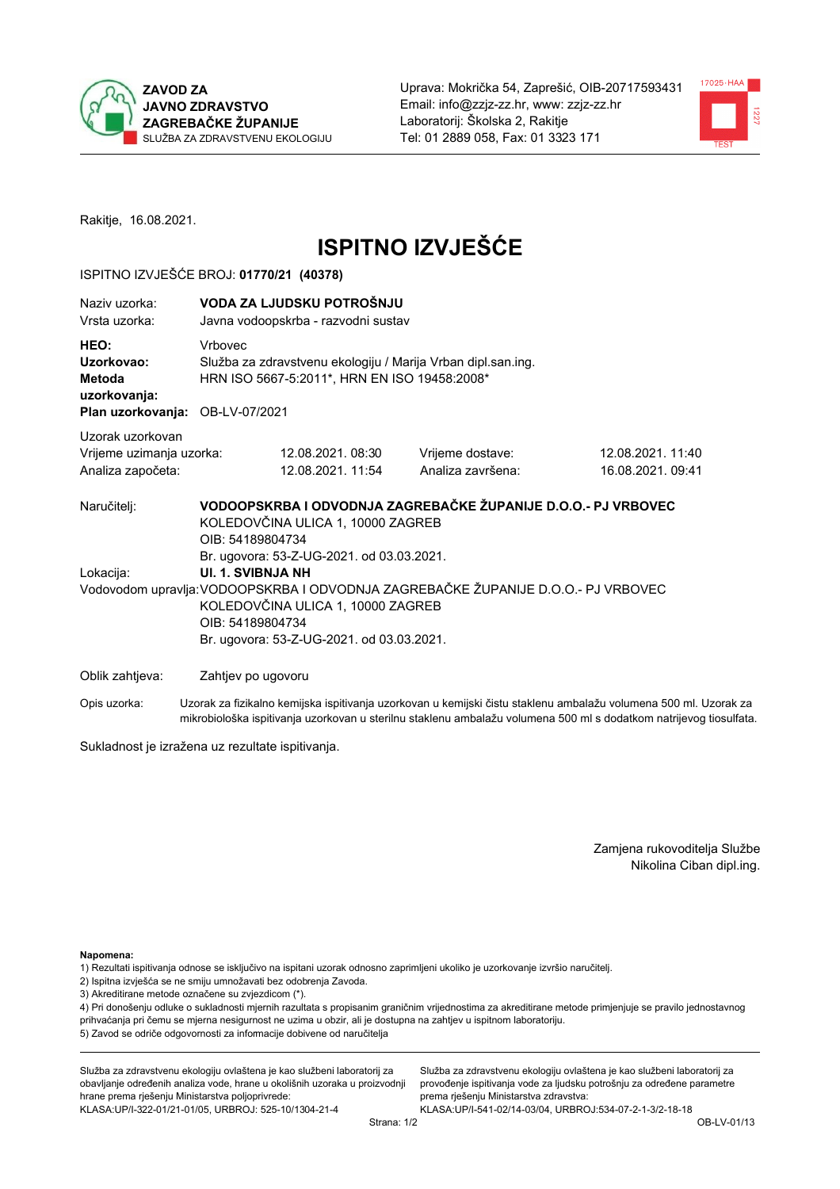



Rakitje, 16.08.2021.

# **ISPITNO IZVJEŠĆE**

## ISPITNO IZVJEŠĆE BROJ: 01770/21 (40378)

| Naziy uzorka:<br>Vrsta uzorka:                                    |                          | VODA ZA LJUDSKU POTROŠNJU<br>Javna vodoopskrba - razvodni sustav                                             |                                                                                   |                                                                                                                  |  |  |  |
|-------------------------------------------------------------------|--------------------------|--------------------------------------------------------------------------------------------------------------|-----------------------------------------------------------------------------------|------------------------------------------------------------------------------------------------------------------|--|--|--|
| HEO:<br>Uzorkovao:<br>Metoda<br>uzorkovanja:<br>Plan uzorkovanja: | Vrbovec<br>OB-LV-07/2021 | Služba za zdravstvenu ekologiju / Marija Vrban dipl.san.ing.<br>HRN ISO 5667-5:2011*, HRN EN ISO 19458:2008* |                                                                                   |                                                                                                                  |  |  |  |
| Uzorak uzorkovan                                                  |                          |                                                                                                              |                                                                                   |                                                                                                                  |  |  |  |
| Vrijeme uzimanja uzorka:<br>Analiza započeta:                     |                          | 12.08.2021.08:30<br>12.08.2021. 11:54                                                                        | Vrijeme dostave:<br>Analiza završena:                                             | 12.08.2021.11:40<br>16.08.2021. 09:41                                                                            |  |  |  |
| Naručitelj:                                                       | OIB: 54189804734         | KOLEDOVČINA ULICA 1, 10000 ZAGREB<br>Br. ugovora: 53-Z-UG-2021. od 03.03.2021.                               | VODOOPSKRBA I ODVODNJA ZAGREBAČKE ŽUPANIJE D.O.O.- PJ VRBOVEC                     |                                                                                                                  |  |  |  |
| Lokacija:                                                         | UI. 1. SVIBNJA NH        |                                                                                                              |                                                                                   |                                                                                                                  |  |  |  |
|                                                                   | OIB: 54189804734         | KOLEDOVČINA ULICA 1, 10000 ZAGREB<br>Br. ugovora: 53-Z-UG-2021. od 03.03.2021.                               | Vodovodom upravlja: VODOOPSKRBA I ODVODNJA ZAGREBAČKE ŽUPANIJE D.O.O.- PJ VRBOVEC |                                                                                                                  |  |  |  |
| Oblik zahtjeva:                                                   | Zahtjev po ugovoru       |                                                                                                              |                                                                                   |                                                                                                                  |  |  |  |
| Opis uzorka:                                                      |                          |                                                                                                              |                                                                                   | Uzorak za fizikalno kemijska ispitivanja uzorkovan u kemijski čistu staklenu ambalažu volumena 500 ml. Uzorak za |  |  |  |

Sukladnost je izražena uz rezultate ispitivanja.

Zamjena rukovoditelja Službe Nikolina Ciban dipl.ing.

Napomena:

1) Rezultati ispitivanja odnose se isključivo na ispitani uzorak odnosno zaprimljeni ukoliko je uzorkovanje izvršio naručitelj.

- 2) Ispitna izvješća se ne smiju umnožavati bez odobrenja Zavoda.
- 3) Akreditirane metode označene su zvjezdicom (\*).

4) Pri donošenju odluke o sukladnosti mjernih razultata s propisanim graničnim vrijednostima za akreditirane metode primjenjuje se pravilo jednostavnog prihvaćanja pri čemu se mjerna nesigurnost ne uzima u obzir, ali je dostupna na zahtjev u ispitnom laboratoriju. 5) Zavod se odriče odgovornosti za informacije dobivene od naručitelja

mikrobiološka ispitivanja uzorkovan u sterilnu staklenu ambalažu volumena 500 ml s dodatkom natrijevog tiosulfata.

Služba za zdravstvenu ekologiju ovlaštena je kao službeni laboratorij za obavljanje određenih analiza vode, hrane u okolišnih uzoraka u proizvodnji hrane prema rješenju Ministarstva poljoprivrede: KLASA: UP/I-322-01/21-01/05, URBROJ: 525-10/1304-21-4

Služba za zdravstvenu ekologiju ovlaštena je kao službeni laboratorij za provođenje ispitivanja vode za ljudsku potrošnju za određene parametre prema rješenju Ministarstva zdravstva: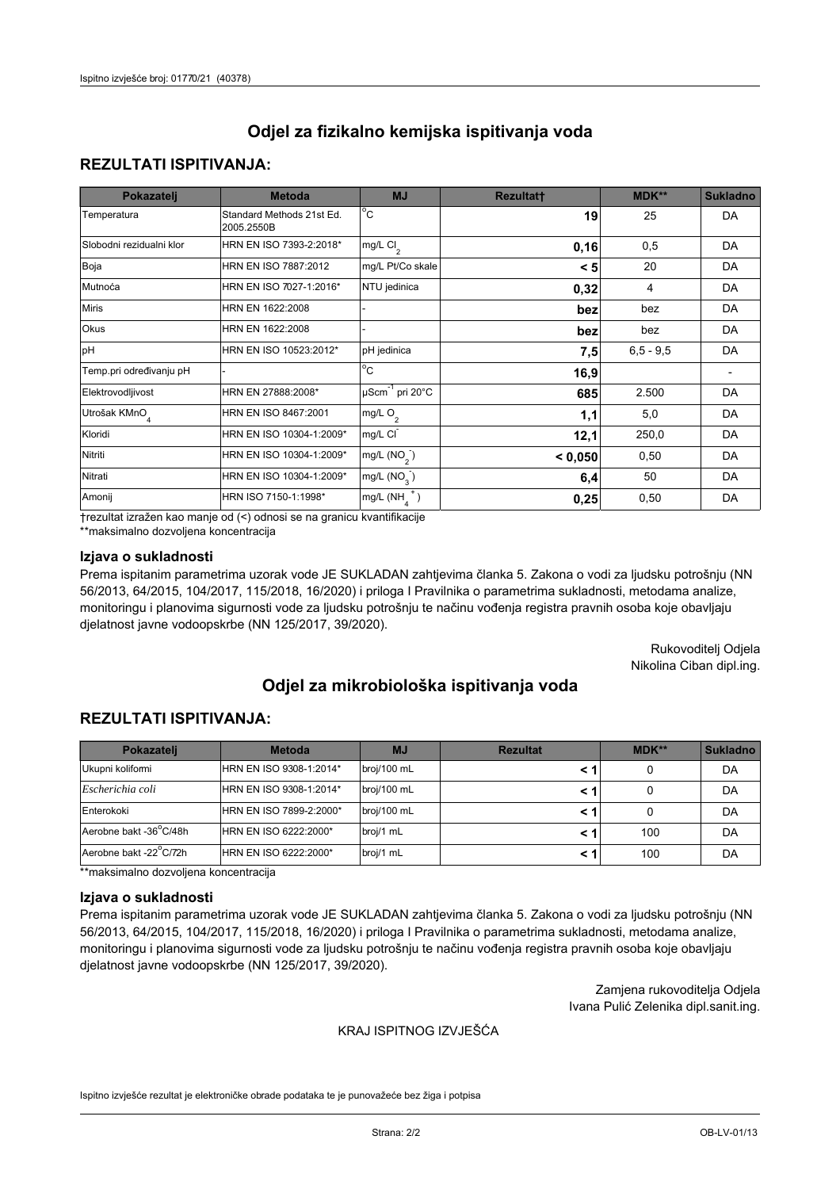## **REZULTATI ISPITIVANJA:**

| Pokazatelj                | <b>Metoda</b>                           | <b>MJ</b>                        | <b>Rezultatt</b> | MDK**       | <b>Sukladno</b> |
|---------------------------|-----------------------------------------|----------------------------------|------------------|-------------|-----------------|
| Temperatura               | Standard Methods 21st Ed.<br>2005.2550B | $\overline{^{\circ}C}$           | 19               | 25          | DA              |
| Slobodni rezidualni klor  | HRN EN ISO 7393-2:2018*                 | mg/L $Cl2$                       | 0,16             | 0,5         | DA              |
| Boja                      | HRN EN ISO 7887:2012                    | mg/L Pt/Co skale                 | < 5              | 20          | DA              |
| Mutnoća                   | HRN EN ISO 7027-1:2016*                 | NTU jedinica                     | 0,32             | 4           | DA              |
| <b>Miris</b>              | HRN EN 1622:2008                        |                                  | bez              | bez         | DA              |
| Okus                      | HRN EN 1622:2008                        |                                  | bez              | bez         | DA              |
| pH                        | HRN EN ISO 10523:2012*                  | pH jedinica                      | 7,5              | $6.5 - 9.5$ | DA              |
| Temp.pri određivanju pH   |                                         | $\overline{c}$                   | 16,9             |             |                 |
| Elektrovodljivost         | HRN EN 27888:2008*                      | $\mu$ Scm <sup>-1</sup> pri 20°C | 685              | 2.500       | DA              |
| Utrošak KMnO <sub>4</sub> | HRN EN ISO 8467:2001                    | mg/L $O_2$                       | 1,1              | 5,0         | DA              |
| Kloridi                   | HRN EN ISO 10304-1:2009*                | mg/L CI                          | 12,1             | 250,0       | DA              |
| Nitriti                   | HRN EN ISO 10304-1:2009*                | mg/L (NO <sub>2</sub> )          | < 0,050          | 0,50        | DA              |
| Nitrati                   | HRN EN ISO 10304-1:2009*                | mg/L $(NO3)$                     | 6,4              | 50          | DA              |
| Amonij                    | HRN ISO 7150-1:1998*                    | mg/L $(NH_{\lambda}^{\dagger})$  | 0,25             | 0,50        | DA              |

trezultat izražen kao manje od (<) odnosi se na granicu kvantifikacije

\*\*maksimalno dozvoljena koncentracija

### Izjava o sukladnosti

Prema ispitanim parametrima uzorak vode JE SUKLADAN zahtjevima članka 5. Zakona o vodi za ljudsku potrošnju (NN 56/2013, 64/2015, 104/2017, 115/2018, 16/2020) i priloga I Pravilnika o parametrima sukladnosti, metodama analize, monitoringu i planovima sigurnosti vode za ljudsku potrošnju te načinu vođenja registra pravnih osoba koje obavljaju djelatnost javne vodoopskrbe (NN 125/2017, 39/2020).

> Rukovoditelj Odjela Nikolina Ciban dipl.ing.

# Odjel za mikrobiološka ispitivanja voda

## **REZULTATI ISPITIVANJA:**

| Pokazateli             | <b>Metoda</b>           | <b>MJ</b>   | <b>Rezultat</b> | $MDK**$ | <b>Sukladno</b> |
|------------------------|-------------------------|-------------|-----------------|---------|-----------------|
| Ukupni kolifomi        | HRN EN ISO 9308-1:2014* | broj/100 mL |                 |         | DA              |
| Escherichia coli       | HRN EN ISO 9308-1:2014* | broj/100 mL |                 |         | DA              |
| Enterokoki             | HRN EN ISO 7899-2:2000* | broj/100 mL |                 |         | DA              |
| Aerobne bakt -36 C/48h | HRN EN ISO 6222:2000*   | broj/1 mL   |                 | 100     | DA              |
| Aerobne bakt -22 C/72h | HRN EN ISO 6222:2000*   | broj/1 mL   |                 | 100     | DA              |

\*\*maksimalno dozvoljena koncentracija

#### Izjava o sukladnosti

Prema ispitanim parametrima uzorak vode JE SUKLADAN zahtjevima članka 5. Zakona o vodi za ljudsku potrošnju (NN 56/2013, 64/2015, 104/2017, 115/2018, 16/2020) i priloga I Pravilnika o parametrima sukladnosti, metodama analize, monitoringu i planovima sigurnosti vode za ljudsku potrošnju te načinu vođenja registra pravnih osoba koje obavljaju djelatnost javne vodoopskrbe (NN 125/2017, 39/2020).

> Zamjena rukovoditelja Odjela Ivana Pulić Zelenika dipl.sanit.ing.

### KRAJ ISPITNOG IZVJEŠĆA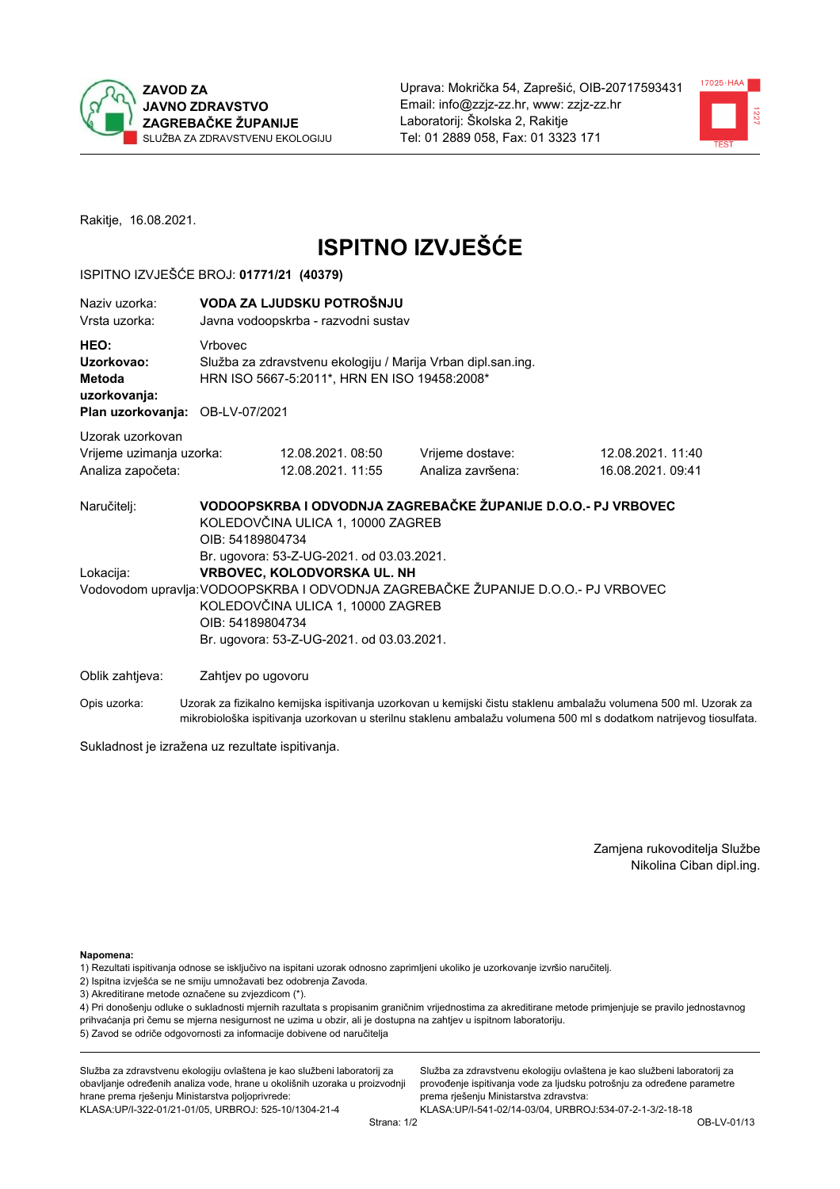



Rakitje, 16.08.2021.

# **ISPITNO IZVJEŠĆE**

## ISPITNO IZVJEŠĆE BROJ: 01771/21 (40379)

| Naziy uzorka:<br>Vrsta uzorka:                                                  |                                                                                                                                                                                                                                                                     | VODA ZA LJUDSKU POTROŠNJU<br>Javna vodoopskrba - razvodni sustav                                             |                                                               |                                      |  |  |
|---------------------------------------------------------------------------------|---------------------------------------------------------------------------------------------------------------------------------------------------------------------------------------------------------------------------------------------------------------------|--------------------------------------------------------------------------------------------------------------|---------------------------------------------------------------|--------------------------------------|--|--|
| HEO:<br>Uzorkovao:<br>Metoda<br>uzorkovanja:<br>Plan uzorkovanja: OB-LV-07/2021 | Vrbovec                                                                                                                                                                                                                                                             | Služba za zdravstvenu ekologiju / Marija Vrban dipl.san.ing.<br>HRN ISO 5667-5:2011*, HRN EN ISO 19458:2008* |                                                               |                                      |  |  |
| Uzorak uzorkovan<br>Vrijeme uzimanja uzorka:<br>Analiza započeta:               |                                                                                                                                                                                                                                                                     | 12.08.2021.08:50<br>12.08.2021. 11:55                                                                        | Vrijeme dostave:<br>Analiza završena:                         | 12.08.2021.11:40<br>16.08.2021.09:41 |  |  |
| Naručitelj:                                                                     | OIB: 54189804734                                                                                                                                                                                                                                                    | KOLEDOVČINA ULICA 1, 10000 ZAGREB                                                                            | VODOOPSKRBA I ODVODNJA ZAGREBAČKE ŽUPANIJE D.O.O.- PJ VRBOVEC |                                      |  |  |
| Lokacija:                                                                       | Br. ugovora: 53-Z-UG-2021. od 03.03.2021.<br>VRBOVEC, KOLODVORSKA UL. NH<br>Vodovodom upravlja: VODOOPSKRBA I ODVODNJA ZAGREBAČKE ŽUPANIJE D.O.O.- PJ VRBOVEC<br>KOLEDOVČINA ULICA 1, 10000 ZAGREB<br>OIB: 54189804734<br>Br. ugovora: 53-Z-UG-2021. od 03.03.2021. |                                                                                                              |                                                               |                                      |  |  |
| Oblik zahtjeva:                                                                 | Zahtjev po ugovoru                                                                                                                                                                                                                                                  |                                                                                                              |                                                               |                                      |  |  |

Opis uzorka: Uzorak za fizikalno kemijska ispitivanja uzorkovan u kemijski čistu staklenu ambalažu volumena 500 ml. Uzorak za mikrobiološka ispitivanja uzorkovan u sterilnu staklenu ambalažu volumena 500 ml s dodatkom natrijevog tiosulfata.

Sukladnost je izražena uz rezultate ispitivanja.

Zamjena rukovoditelja Službe Nikolina Ciban dipl.ing.

Napomena:

1) Rezultati ispitivanja odnose se isključivo na ispitani uzorak odnosno zaprimljeni ukoliko je uzorkovanje izvršio naručitelj.

- 2) Ispitna izvješća se ne smiju umnožavati bez odobrenja Zavoda.
- 3) Akreditirane metode označene su zvjezdicom (\*).

4) Pri donošenju odluke o sukladnosti mjernih razultata s propisanim graničnim vrijednostima za akreditirane metode primjenjuje se pravilo jednostavnog prihvaćanja pri čemu se mjerna nesigurnost ne uzima u obzir, ali je dostupna na zahtjev u ispitnom laboratoriju. 5) Zavod se odriče odgovornosti za informacije dobivene od naručitelja

Služba za zdravstvenu ekologiju ovlaštena je kao službeni laboratorij za obavljanje određenih analiza vode, hrane u okolišnih uzoraka u proizvodnji hrane prema rješenju Ministarstva poljoprivrede: KLASA.UP/I-322-01/21-01/05, URBROJ: 525-10/1304-21-4

Služba za zdravstvenu ekologiju ovlaštena je kao službeni laboratorij za provođenje ispitivanja vode za ljudsku potrošnju za određene parametre prema rješenju Ministarstva zdravstva: KLASA: UP/I-541-02/14-03/04, URBROJ: 534-07-2-1-3/2-18-18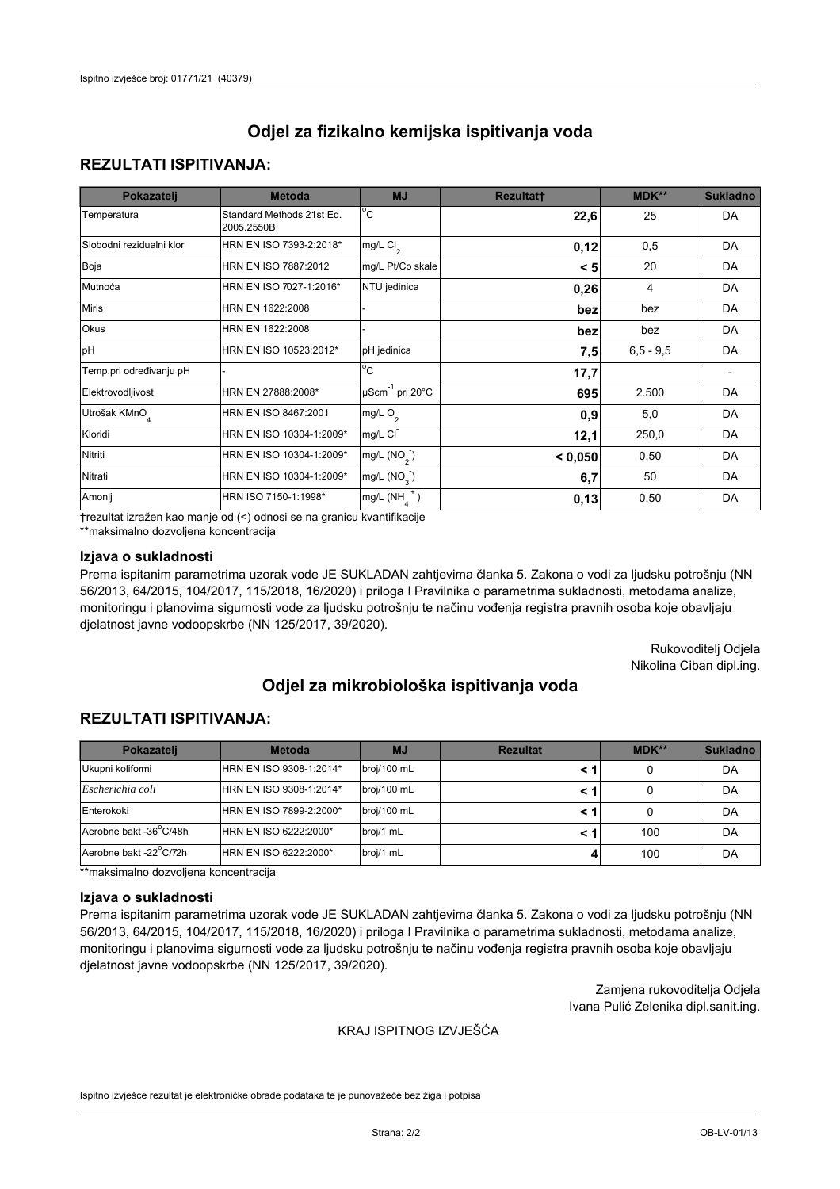## **REZULTATI ISPITIVANJA:**

| Pokazatelj                | <b>Metoda</b>                           | <b>MJ</b>                                   | <b>Rezultatt</b> | MDK**       | <b>Sukladno</b> |
|---------------------------|-----------------------------------------|---------------------------------------------|------------------|-------------|-----------------|
| Temperatura               | Standard Methods 21st Ed.<br>2005.2550B | $^{\circ}$ C                                | 22,6             | 25          | DA              |
| Slobodni rezidualni klor  | HRN EN ISO 7393-2:2018*                 | $\overline{\text{mg/L}}$ Cl <sub>2</sub>    | 0,12             | 0,5         | DA              |
| Boja                      | HRN EN ISO 7887:2012                    | mg/L Pt/Co skale                            | < 5              | 20          | DA              |
| Mutnoća                   | HRN EN ISO 7027-1:2016*                 | NTU jedinica                                | 0,26             | 4           | DA              |
| <b>Miris</b>              | HRN EN 1622:2008                        |                                             | bez              | bez         | DA              |
| Okus                      | HRN EN 1622:2008                        |                                             | bez              | bez         | DA              |
| pH                        | HRN EN ISO 10523:2012*                  | pH jedinica                                 | 7,5              | $6,5 - 9,5$ | DA              |
| Temp.pri određivanju pH   |                                         | $\overline{c}$                              | 17,7             |             |                 |
| Elektrovodljivost         | HRN EN 27888:2008*                      | $\overline{\mu}$ Scm <sup>-1</sup> pri 20°C | 695              | 2.500       | DA              |
| Utrošak KMnO <sub>4</sub> | HRN EN ISO 8467:2001                    | mg/L $O_2$                                  | 0.9              | 5,0         | DA              |
| Kloridi                   | HRN EN ISO 10304-1:2009*                | mg/L CI                                     | 12,1             | 250,0       | DA              |
| Nitriti                   | HRN EN ISO 10304-1:2009*                | mg/L $(NO2)$                                | < 0.050          | 0,50        | DA              |
| Nitrati                   | HRN EN ISO 10304-1:2009*                | mg/L $(NO3)$                                | 6,7              | 50          | DA              |
| Amonij                    | HRN ISO 7150-1:1998*                    | mg/L $(NH_{\lambda}^{\dagger})$             | 0,13             | 0,50        | DA              |

trezultat izražen kao manje od (<) odnosi se na granicu kvantifikacije

\*\*maksimalno dozvoljena koncentracija

### Izjava o sukladnosti

Prema ispitanim parametrima uzorak vode JE SUKLADAN zahtjevima članka 5. Zakona o vodi za ljudsku potrošnju (NN 56/2013, 64/2015, 104/2017, 115/2018, 16/2020) i priloga I Pravilnika o parametrima sukladnosti, metodama analize, monitoringu i planovima sigurnosti vode za ljudsku potrošnju te načinu vođenja registra pravnih osoba koje obavljaju djelatnost javne vodoopskrbe (NN 125/2017, 39/2020).

> Rukovoditelj Odjela Nikolina Ciban dipl.ing.

# Odjel za mikrobiološka ispitivanja voda

## **REZULTATI ISPITIVANJA:**

| Pokazateli             | <b>Metoda</b>           | <b>MJ</b>   | <b>Rezultat</b> | $MDK**$ | <b>Sukladno</b> |
|------------------------|-------------------------|-------------|-----------------|---------|-----------------|
| Ukupni kolifomi        | HRN EN ISO 9308-1:2014* | broj/100 mL |                 |         | DA              |
| Escherichia coli       | HRN EN ISO 9308-1:2014* | broj/100 mL |                 |         | DA              |
| Enterokoki             | HRN EN ISO 7899-2:2000* | broj/100 mL |                 |         | DA              |
| Aerobne bakt -36 C/48h | HRN EN ISO 6222:2000*   | broj/1 mL   |                 | 100     | DA              |
| Aerobne bakt -22 C/72h | HRN EN ISO 6222:2000*   | broj/1 mL   |                 | 100     | DA              |

\*\*maksimalno dozvoljena koncentracija

#### Izjava o sukladnosti

Prema ispitanim parametrima uzorak vode JE SUKLADAN zahtjevima članka 5. Zakona o vodi za ljudsku potrošnju (NN 56/2013, 64/2015, 104/2017, 115/2018, 16/2020) i priloga I Pravilnika o parametrima sukladnosti, metodama analize, monitoringu i planovima sigurnosti vode za ljudsku potrošnju te načinu vođenja registra pravnih osoba koje obavljaju djelatnost javne vodoopskrbe (NN 125/2017, 39/2020).

> Zamjena rukovoditelja Odjela Ivana Pulić Zelenika dipl.sanit.ing.

### KRAJ ISPITNOG IZVJEŠĆA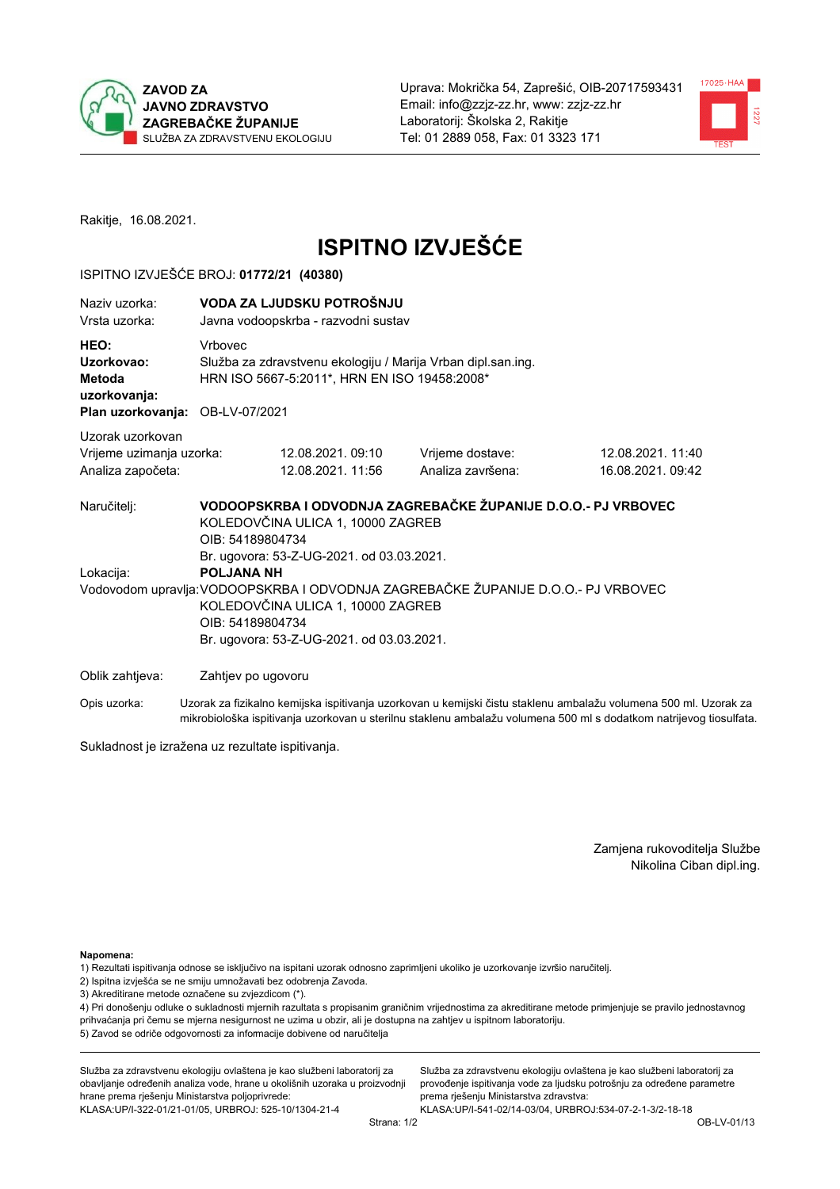



Rakitje, 16.08.2021.

# **ISPITNO IZVJEŠĆE**

## ISPITNO IZVJEŠĆE BROJ: 01772/21 (40380)

| Naziv uzorka:<br>Vrsta uzorka:                                                  |                                                                                                                                                                                                                                                           | VODA ZA LJUDSKU POTROŠNJU<br>Javna vodoopskrba - razvodni sustav                                             |                                                                                                                                                                                                                                |                                      |  |  |
|---------------------------------------------------------------------------------|-----------------------------------------------------------------------------------------------------------------------------------------------------------------------------------------------------------------------------------------------------------|--------------------------------------------------------------------------------------------------------------|--------------------------------------------------------------------------------------------------------------------------------------------------------------------------------------------------------------------------------|--------------------------------------|--|--|
| HEO:<br>Uzorkovao:<br>Metoda<br>uzorkovanja:<br>Plan uzorkovanja: OB-LV-07/2021 | Vrbovec                                                                                                                                                                                                                                                   | Služba za zdravstvenu ekologiju / Marija Vrban dipl.san.ing.<br>HRN ISO 5667-5:2011*, HRN EN ISO 19458:2008* |                                                                                                                                                                                                                                |                                      |  |  |
| Uzorak uzorkovan                                                                |                                                                                                                                                                                                                                                           |                                                                                                              |                                                                                                                                                                                                                                |                                      |  |  |
| Vrijeme uzimanja uzorka:<br>Analiza započeta:                                   |                                                                                                                                                                                                                                                           | 12.08.2021.09:10<br>12.08.2021. 11:56                                                                        | Vrijeme dostave:<br>Analiza završena:                                                                                                                                                                                          | 12.08.2021.11:40<br>16.08.2021.09:42 |  |  |
| Naručitelj:                                                                     | OIB: 54189804734                                                                                                                                                                                                                                          | KOLEDOVČINA ULICA 1, 10000 ZAGREB                                                                            | VODOOPSKRBA I ODVODNJA ZAGREBAČKE ŽUPANIJE D.O.O.- PJ VRBOVEC                                                                                                                                                                  |                                      |  |  |
| Lokacija:                                                                       | Br. ugovora: 53-Z-UG-2021. od 03.03.2021.<br><b>POLJANA NH</b><br>Vodovodom upravlja: VODOOPSKRBA I ODVODNJA ZAGREBAČKE ŽUPANIJE D.O.O.- PJ VRBOVEC<br>KOLEDOVČINA ULICA 1, 10000 ZAGREB<br>OIB: 54189804734<br>Br. ugovora: 53-Z-UG-2021. od 03.03.2021. |                                                                                                              |                                                                                                                                                                                                                                |                                      |  |  |
| Oblik zahtjeva:                                                                 | Zahtjev po ugovoru                                                                                                                                                                                                                                        |                                                                                                              |                                                                                                                                                                                                                                |                                      |  |  |
|                                                                                 |                                                                                                                                                                                                                                                           |                                                                                                              | At I Handburght and the state and the state of the state of the state of the state of the state of the state of the state of the state of the state of the state of the state of the state of the state of the state of the st |                                      |  |  |

Uzorak za fizikalno kemijska ispitivanja uzorkovan u kemijski čistu staklenu ambalažu volumena 500 ml. Uzorak za Opis uzorka: mikrobiološka ispitivanja uzorkovan u sterilnu staklenu ambalažu volumena 500 ml s dodatkom natrijevog tiosulfata.

Sukladnost je izražena uz rezultate ispitivanja.

Zamjena rukovoditelja Službe Nikolina Ciban dipl.ing.

Napomena:

1) Rezultati ispitivanja odnose se isključivo na ispitani uzorak odnosno zaprimljeni ukoliko je uzorkovanje izvršio naručitelj.

- 2) Ispitna izvješća se ne smiju umnožavati bez odobrenja Zavoda.
- 3) Akreditirane metode označene su zvjezdicom (\*).

4) Pri donošenju odluke o sukladnosti mjernih razultata s propisanim graničnim vrijednostima za akreditirane metode primjenjuje se pravilo jednostavnog prihvaćanja pri čemu se mjerna nesigurnost ne uzima u obzir, ali je dostupna na zahtjev u ispitnom laboratoriju. 5) Zavod se odriče odgovornosti za informacije dobivene od naručitelja

Služba za zdravstvenu ekologiju ovlaštena je kao službeni laboratorij za obavljanje određenih analiza vode, hrane u okolišnih uzoraka u proizvodnji hrane prema rješenju Ministarstva poljoprivrede: KLASA.UP/I-322-01/21-01/05, URBROJ: 525-10/1304-21-4

Služba za zdravstvenu ekologiju ovlaštena je kao službeni laboratorij za provođenje ispitivanja vode za ljudsku potrošnju za određene parametre prema rješenju Ministarstva zdravstva: KLASA:UP/I-541-02/14-03/04, URBROJ:534-07-2-1-3/2-18-18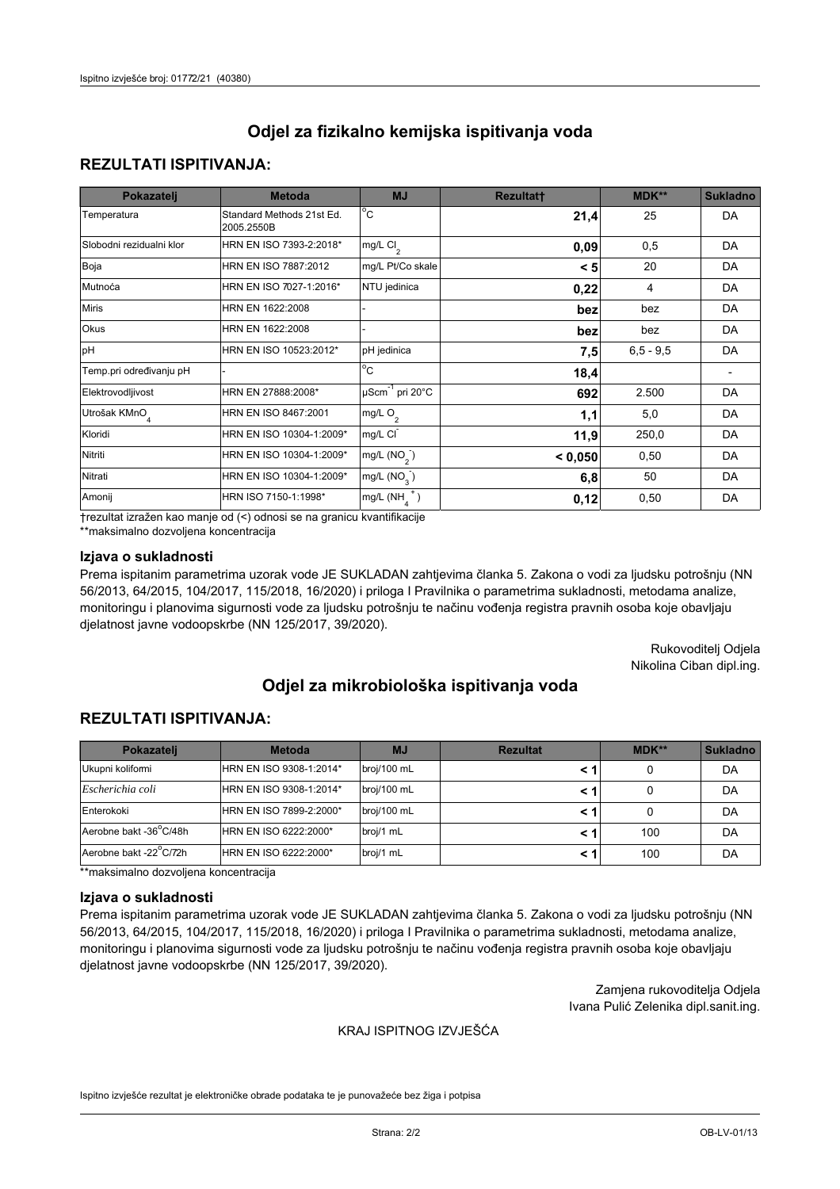## **REZULTATI ISPITIVANJA:**

| Pokazatelj                | <b>Metoda</b>                           | <b>MJ</b>                        | <b>Rezultatt</b> | <b>MDK**</b> | <b>Sukladno</b> |
|---------------------------|-----------------------------------------|----------------------------------|------------------|--------------|-----------------|
| Temperatura               | Standard Methods 21st Ed.<br>2005.2550B | $^{\circ}$ C                     | 21,4             | 25           | DA              |
| Slobodni rezidualni klor  | HRN EN ISO 7393-2:2018*                 | $mg/L$ Cl <sub>2</sub>           | 0,09             | 0,5          | DA              |
| Boja                      | HRN EN ISO 7887:2012                    | mg/L Pt/Co skale                 | < 5              | 20           | DA              |
| Mutnoća                   | HRN EN ISO 7027-1:2016*                 | NTU jedinica                     | 0,22             | 4            | DA              |
| <b>Miris</b>              | HRN EN 1622:2008                        |                                  | bez              | bez          | DA              |
| Okus                      | HRN EN 1622:2008                        |                                  | bez              | bez          | DA              |
| pH                        | HRN EN ISO 10523:2012*                  | pH jedinica                      | 7,5              | $6,5 - 9,5$  | DA              |
| Temp.pri određivanju pH   |                                         | $\overline{c}$                   | 18,4             |              |                 |
| Elektrovodljivost         | HRN EN 27888:2008*                      | $\mu$ Scm <sup>-1</sup> pri 20°C | 692              | 2.500        | DA              |
| Utrošak KMnO <sub>4</sub> | HRN EN ISO 8467:2001                    | mg/L $O_2$                       | 1,1              | 5,0          | DA              |
| Kloridi                   | HRN EN ISO 10304-1:2009*                | mg/L CI                          | 11,9             | 250,0        | DA              |
| Nitriti                   | HRN EN ISO 10304-1:2009*                | mg/L (NO <sub>2</sub> )          | < 0,050          | 0,50         | DA              |
| Nitrati                   | HRN EN ISO 10304-1:2009*                | mg/L $(NO3)$                     | 6,8              | 50           | DA              |
| Amonij                    | HRN ISO 7150-1:1998*                    | mg/L $(NH_{\lambda}^{\dagger})$  | 0,12             | 0,50         | DA              |

trezultat izražen kao manje od (<) odnosi se na granicu kvantifikacije

\*\*maksimalno dozvoljena koncentracija

### Izjava o sukladnosti

Prema ispitanim parametrima uzorak vode JE SUKLADAN zahtjevima članka 5. Zakona o vodi za ljudsku potrošnju (NN 56/2013, 64/2015, 104/2017, 115/2018, 16/2020) i priloga I Pravilnika o parametrima sukladnosti, metodama analize, monitoringu i planovima sigurnosti vode za ljudsku potrošnju te načinu vođenja registra pravnih osoba koje obavljaju djelatnost javne vodoopskrbe (NN 125/2017, 39/2020).

> Rukovoditelj Odjela Nikolina Ciban dipl.ing.

# Odjel za mikrobiološka ispitivanja voda

## **REZULTATI ISPITIVANJA:**

| Pokazateli             | <b>Metoda</b>           | <b>MJ</b>   | <b>Rezultat</b> | $MDK**$ | <b>Sukladno</b> |
|------------------------|-------------------------|-------------|-----------------|---------|-----------------|
| Ukupni kolifomi        | HRN EN ISO 9308-1:2014* | broj/100 mL |                 |         | DA              |
| Escherichia coli       | HRN EN ISO 9308-1:2014* | broj/100 mL |                 |         | DA              |
| Enterokoki             | HRN EN ISO 7899-2:2000* | broj/100 mL |                 |         | DA              |
| Aerobne bakt -36 C/48h | HRN EN ISO 6222:2000*   | broj/1 mL   |                 | 100     | DA              |
| Aerobne bakt -22 C/72h | HRN EN ISO 6222:2000*   | broj/1 mL   |                 | 100     | DA              |

\*\*maksimalno dozvoljena koncentracija

#### Izjava o sukladnosti

Prema ispitanim parametrima uzorak vode JE SUKLADAN zahtjevima članka 5. Zakona o vodi za ljudsku potrošnju (NN 56/2013, 64/2015, 104/2017, 115/2018, 16/2020) i priloga I Pravilnika o parametrima sukladnosti, metodama analize, monitoringu i planovima sigurnosti vode za ljudsku potrošnju te načinu vođenja registra pravnih osoba koje obavljaju djelatnost javne vodoopskrbe (NN 125/2017, 39/2020).

> Zamjena rukovoditelja Odjela Ivana Pulić Zelenika dipl.sanit.ing.

### KRAJ ISPITNOG IZVJEŠĆA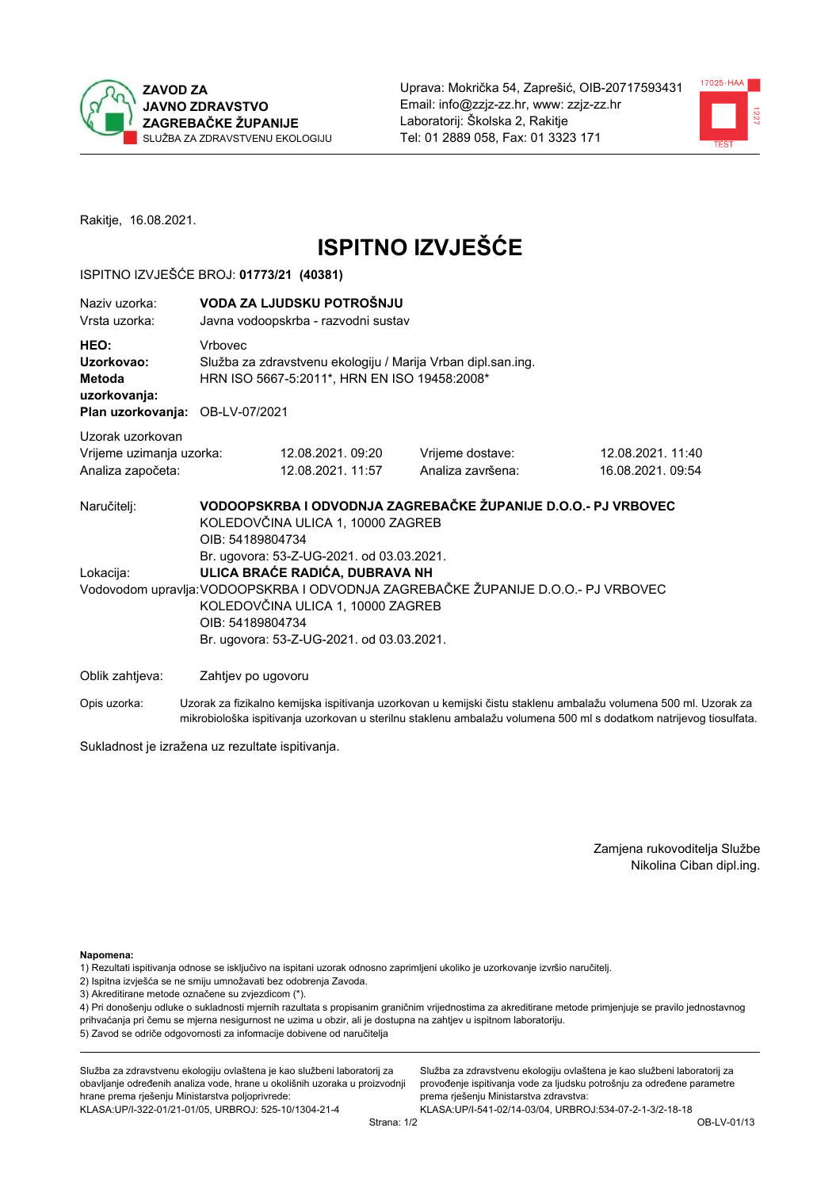



Rakitje, 16.08.2021.

# **ISPITNO IZVJEŠĆE**

## ISPITNO IZVJEŠĆE BROJ: 01773/21 (40381)

| Naziv uzorka:<br>Vrsta uzorka:                                    |                          | VODA ZA LJUDSKU POTROŠNJU<br>Javna vodoopskrba - razvodni sustav                                                                                                                                                                                                       |                                                               |                                      |  |
|-------------------------------------------------------------------|--------------------------|------------------------------------------------------------------------------------------------------------------------------------------------------------------------------------------------------------------------------------------------------------------------|---------------------------------------------------------------|--------------------------------------|--|
| HEO:<br>Uzorkovao:<br>Metoda<br>uzorkovanja:<br>Plan uzorkovanja: | Vrbovec<br>OB-LV-07/2021 | Služba za zdravstvenu ekologiju / Marija Vrban dipl.san.ing.<br>HRN ISO 5667-5:2011*, HRN EN ISO 19458:2008*                                                                                                                                                           |                                                               |                                      |  |
| Uzorak uzorkovan                                                  |                          |                                                                                                                                                                                                                                                                        |                                                               |                                      |  |
| Vrijeme uzimanja uzorka:<br>Analiza započeta:                     |                          | 12.08.2021.09:20<br>12.08.2021. 11:57                                                                                                                                                                                                                                  | Vrijeme dostave:<br>Analiza završena:                         | 12.08.2021.11:40<br>16.08.2021.09:54 |  |
| Naručitelj:                                                       | OIB: 54189804734         | KOLEDOVČINA ULICA 1, 10000 ZAGREB                                                                                                                                                                                                                                      | VODOOPSKRBA I ODVODNJA ZAGREBAČKE ŽUPANIJE D.O.O.- PJ VRBOVEC |                                      |  |
| Lokacija:                                                         |                          | Br. ugovora: 53-Z-UG-2021. od 03.03.2021.<br>ULICA BRAĆE RADIĆA, DUBRAVA NH<br>Vodovodom upravlja: VODOOPSKRBA I ODVODNJA ZAGREBAČKE ŽUPANIJE D.O.O.- PJ VRBOVEC<br>KOLEDOVČINA ULICA 1, 10000 ZAGREB<br>OIB: 54189804734<br>Br. ugovora: 53-Z-UG-2021. od 03.03.2021. |                                                               |                                      |  |
| Oblik zahtjeva:                                                   | Zahtjev po ugovoru       |                                                                                                                                                                                                                                                                        |                                                               |                                      |  |

Opis uzorka: Uzorak za fizikalno kemijska ispitivanja uzorkovan u kemijski čistu staklenu ambalažu volumena 500 ml. Uzorak za mikrobiološka ispitivanja uzorkovan u sterilnu staklenu ambalažu volumena 500 ml s dodatkom natrijevog tiosulfata.

Sukladnost je izražena uz rezultate ispitivanja.

Zamjena rukovoditelja Službe Nikolina Ciban dipl.ing.

Napomena:

1) Rezultati ispitivanja odnose se isključivo na ispitani uzorak odnosno zaprimljeni ukoliko je uzorkovanje izvršio naručitelj.

- 2) Ispitna izvješća se ne smiju umnožavati bez odobrenja Zavoda.
- 3) Akreditirane metode označene su zvjezdicom (\*).

4) Pri donošenju odluke o sukladnosti mjernih razultata s propisanim graničnim vrijednostima za akreditirane metode primjenjuje se pravilo jednostavnog prihvaćanja pri čemu se mjerna nesigurnost ne uzima u obzir, ali je dostupna na zahtjev u ispitnom laboratoriju. 5) Zavod se odriče odgovornosti za informacije dobivene od naručitelja

Služba za zdravstvenu ekologiju ovlaštena je kao službeni laboratorij za obavljanje određenih analiza vode, hrane u okolišnih uzoraka u proizvodnji hrane prema rješenju Ministarstva poljoprivrede: KLASA.UP/I-322-01/21-01/05, URBROJ: 525-10/1304-21-4

Služba za zdravstvenu ekologiju ovlaštena je kao službeni laboratorij za provođenje ispitivanja vode za ljudsku potrošnju za određene parametre prema rješenju Ministarstva zdravstva: KLASA: UP/I-541-02/14-03/04, URBROJ: 534-07-2-1-3/2-18-18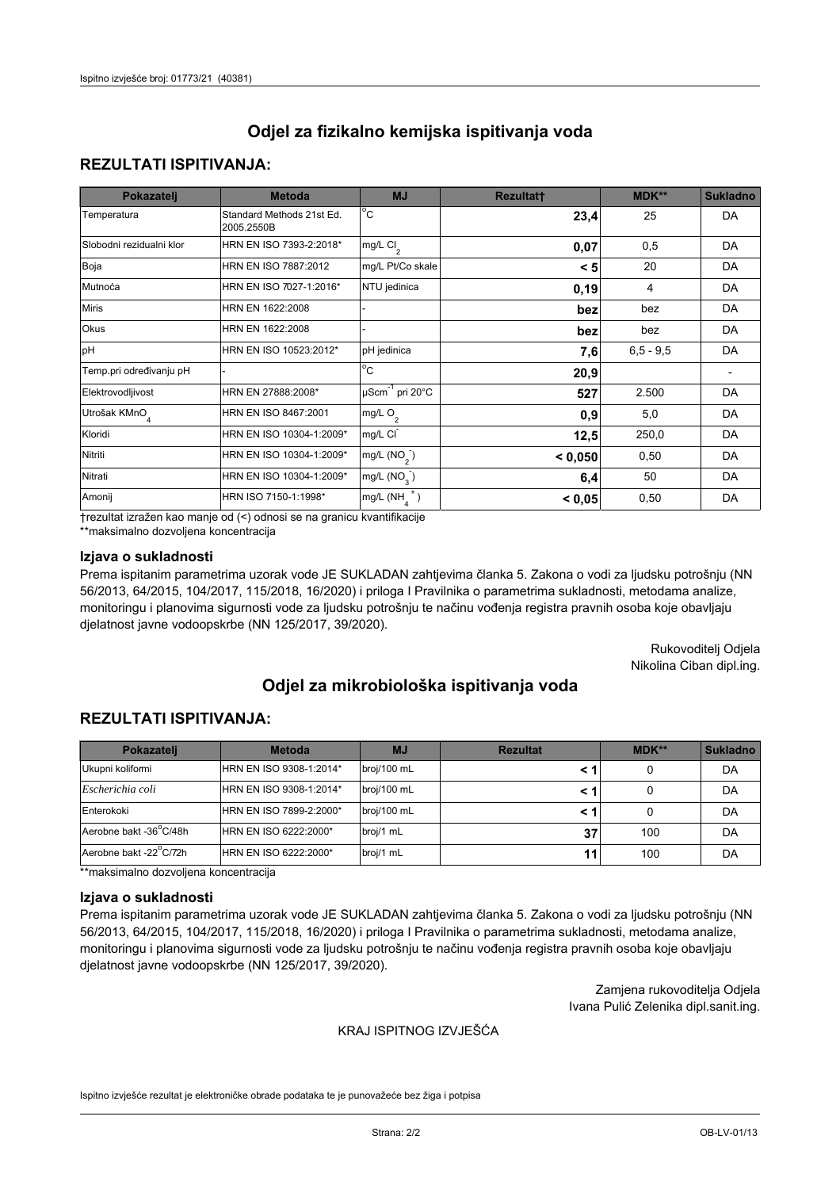## **REZULTATI ISPITIVANJA:**

| Pokazatelj                | <b>Metoda</b>                           | <b>MJ</b>                                | <b>Rezultatt</b> | <b>MDK**</b> | <b>Sukladno</b> |
|---------------------------|-----------------------------------------|------------------------------------------|------------------|--------------|-----------------|
| Temperatura               | Standard Methods 21st Ed.<br>2005.2550B | $\overline{C}$                           | 23,4             | 25           | DA              |
| Slobodni rezidualni klor  | HRN EN ISO 7393-2:2018*                 | $\overline{\text{mg/L}}$ Cl <sub>2</sub> | 0,07             | 0,5          | DA              |
| Boja                      | HRN EN ISO 7887:2012                    | mg/L Pt/Co skale                         | < 5              | 20           | DA              |
| Mutnoća                   | HRN EN ISO 7027-1:2016*                 | NTU jedinica                             | 0, 19            | 4            | DA              |
| <b>Miris</b>              | HRN EN 1622:2008                        |                                          | bez              | bez          | DA              |
| Okus                      | HRN EN 1622:2008                        |                                          | bez              | bez          | DA              |
| pH                        | HRN EN ISO 10523:2012*                  | pH jedinica                              | 7,6              | $6.5 - 9.5$  | DA              |
| Temp.pri određivanju pH   |                                         | $\overline{c}$                           | 20,9             |              |                 |
| Elektrovodljivost         | HRN EN 27888:2008*                      | $\mu$ Scm <sup>-1</sup> pri 20°C         | 527              | 2.500        | DA              |
| Utrošak KMnO <sub>4</sub> | HRN EN ISO 8467:2001                    | mg/L $O_2$                               | 0.9              | 5,0          | DA              |
| Kloridi                   | HRN EN ISO 10304-1:2009*                | mg/L CI                                  | 12,5             | 250,0        | DA              |
| Nitriti                   | HRN EN ISO 10304-1:2009*                | mg/L $(NO2)$                             | < 0,050          | 0,50         | DA              |
| Nitrati                   | HRN EN ISO 10304-1:2009*                | mg/L $(NO3)$                             | 6,4              | 50           | DA              |
| Amonij                    | HRN ISO 7150-1:1998*                    | mg/L $(NH_{\lambda}^{\dagger})$          | < 0,05           | 0,50         | DA              |

trezultat izražen kao manje od (<) odnosi se na granicu kvantifikacije

\*\*maksimalno dozvoljena koncentracija

#### Izjava o sukladnosti

Prema ispitanim parametrima uzorak vode JE SUKLADAN zahtjevima članka 5. Zakona o vodi za ljudsku potrošnju (NN 56/2013, 64/2015, 104/2017, 115/2018, 16/2020) i priloga I Pravilnika o parametrima sukladnosti, metodama analize, monitoringu i planovima sigurnosti vode za ljudsku potrošnju te načinu vođenja registra pravnih osoba koje obavljaju djelatnost javne vodoopskrbe (NN 125/2017, 39/2020).

> Rukovoditelj Odjela Nikolina Ciban dipl.ing.

# Odjel za mikrobiološka ispitivanja voda

## **REZULTATI ISPITIVANJA:**

| Pokazateli             | <b>Metoda</b>           | <b>MJ</b>   | <b>Rezultat</b> | $MDK**$ | <b>Sukladno</b> |
|------------------------|-------------------------|-------------|-----------------|---------|-----------------|
| Ukupni kolifomi        | HRN EN ISO 9308-1:2014* | broj/100 mL |                 |         | DA              |
| Escherichia coli       | HRN EN ISO 9308-1:2014* | broj/100 mL |                 |         | DA              |
| Enterokoki             | HRN EN ISO 7899-2:2000* | broj/100 mL |                 |         | DA              |
| Aerobne bakt -36 C/48h | HRN EN ISO 6222:2000*   | broj/1 mL   | 37              | 100     | DA              |
| Aerobne bakt -22 C/72h | HRN EN ISO 6222:2000*   | broj/1 mL   | 11              | 100     | DA              |

\*\*maksimalno dozvoljena koncentracija

#### Izjava o sukladnosti

Prema ispitanim parametrima uzorak vode JE SUKLADAN zahtjevima članka 5. Zakona o vodi za ljudsku potrošnju (NN 56/2013, 64/2015, 104/2017, 115/2018, 16/2020) i priloga I Pravilnika o parametrima sukladnosti, metodama analize, monitoringu i planovima sigurnosti vode za ljudsku potrošnju te načinu vođenja registra pravnih osoba koje obavljaju djelatnost javne vodoopskrbe (NN 125/2017, 39/2020).

> Zamjena rukovoditelja Odjela Ivana Pulić Zelenika dipl.sanit.ing.

#### KRAJ ISPITNOG IZVJEŠĆA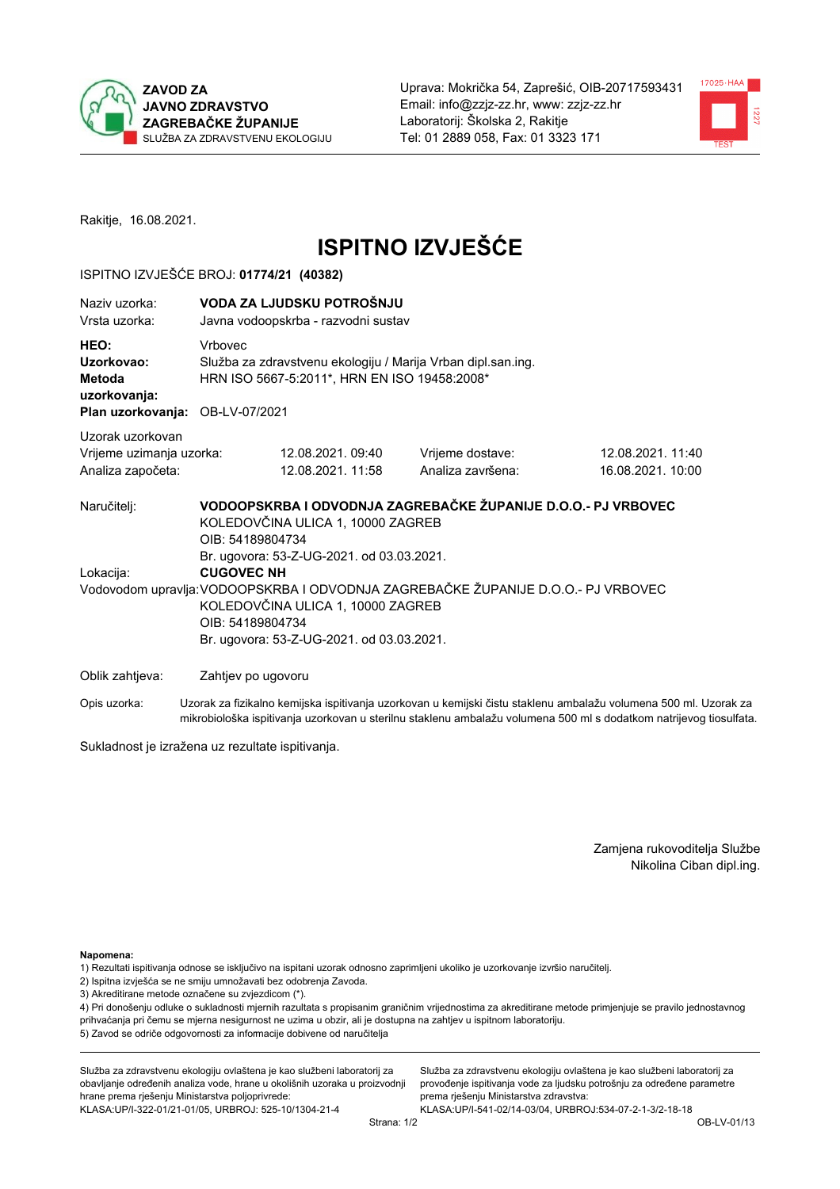



Rakitje, 16.08.2021.

# **ISPITNO IZVJEŠĆE**

## ISPITNO IZVJEŠĆE BROJ: 01774/21 (40382)

| Naziv uzorka:<br>Vrsta uzorka:                                                  |                   | VODA ZA LJUDSKU POTROŠNJU<br>Javna vodoopskrba - razvodni sustav                                                                                                                                         |                                                                                                                                                    |                                                                                                                  |  |  |
|---------------------------------------------------------------------------------|-------------------|----------------------------------------------------------------------------------------------------------------------------------------------------------------------------------------------------------|----------------------------------------------------------------------------------------------------------------------------------------------------|------------------------------------------------------------------------------------------------------------------|--|--|
| HEO:<br>Uzorkovao:<br>Metoda<br>uzorkovanja:<br>Plan uzorkovanja: OB-LV-07/2021 | Vrbovec           | Služba za zdravstvenu ekologiju / Marija Vrban dipl.san.ing.<br>HRN ISO 5667-5:2011*, HRN EN ISO 19458:2008*                                                                                             |                                                                                                                                                    |                                                                                                                  |  |  |
| Uzorak uzorkovan<br>Vrijeme uzimanja uzorka:<br>Analiza započeta:               |                   | 12.08.2021.09:40<br>12.08.2021. 11:58                                                                                                                                                                    | Vrijeme dostave:<br>Analiza završena:                                                                                                              | 12.08.2021.11:40<br>16.08.2021. 10:00                                                                            |  |  |
| Naručitelj:<br>Lokacija:                                                        | <b>CUGOVEC NH</b> | KOLEDOVČINA ULICA 1, 10000 ZAGREB<br>OIB: 54189804734<br>Br. ugovora: 53-Z-UG-2021. od 03.03.2021.<br>KOLEDOVČINA ULICA 1, 10000 ZAGREB<br>OIB: 54189804734<br>Br. ugovora: 53-Z-UG-2021. od 03.03.2021. | VODOOPSKRBA I ODVODNJA ZAGREBAČKE ŽUPANIJE D.O.O.- PJ VRBOVEC<br>Vodovodom upravlja: VODOOPSKRBA I ODVODNJA ZAGREBAČKE ŽUPANIJE D.O.O.- PJ VRBOVEC |                                                                                                                  |  |  |
| Oblik zahtjeva:                                                                 |                   | Zahtjev po ugovoru                                                                                                                                                                                       |                                                                                                                                                    |                                                                                                                  |  |  |
| Opis uzorka:                                                                    |                   |                                                                                                                                                                                                          |                                                                                                                                                    | Uzorak za fizikalno kemijska ispitivanja uzorkovan u kemijski čistu staklenu ambalažu volumena 500 ml. Uzorak za |  |  |

mikrobiološka ispitivanja uzorkovan u sterilnu staklenu ambalažu volumena 500 ml s dodatkom natrijevog tiosulfata.

Sukladnost je izražena uz rezultate ispitivanja.

Zamjena rukovoditelja Službe Nikolina Ciban dipl.ing.

Napomena:

1) Rezultati ispitivanja odnose se isključivo na ispitani uzorak odnosno zaprimljeni ukoliko je uzorkovanje izvršio naručitelj.

- 2) Ispitna izvješća se ne smiju umnožavati bez odobrenja Zavoda.
- 3) Akreditirane metode označene su zvjezdicom (\*).

4) Pri donošenju odluke o sukladnosti mjernih razultata s propisanim graničnim vrijednostima za akreditirane metode primjenjuje se pravilo jednostavnog prihvaćanja pri čemu se mjerna nesigurnost ne uzima u obzir, ali je dostupna na zahtjev u ispitnom laboratoriju. 5) Zavod se odriče odgovornosti za informacije dobivene od naručitelja

Služba za zdravstvenu ekologiju ovlaštena je kao službeni laboratorij za obavljanje određenih analiza vode, hrane u okolišnih uzoraka u proizvodnji hrane prema rješenju Ministarstva poljoprivrede: KLASA.UP/I-322-01/21-01/05, URBROJ: 525-10/1304-21-4

Služba za zdravstvenu ekologiju ovlaštena je kao službeni laboratorij za provođenje ispitivanja vode za ljudsku potrošnju za određene parametre prema rješenju Ministarstva zdravstva: KLASA:UP/I-541-02/14-03/04, URBROJ:534-07-2-1-3/2-18-18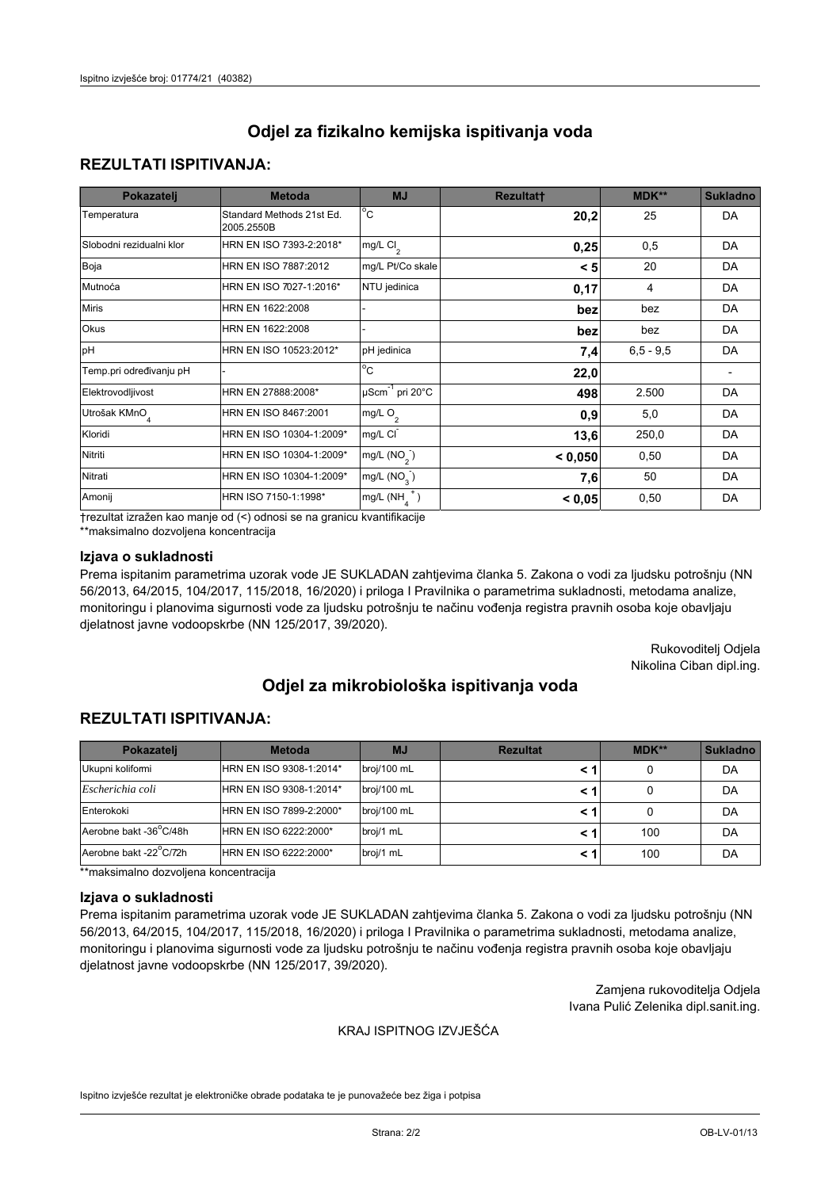## **REZULTATI ISPITIVANJA:**

| Pokazatelj                | <b>Metoda</b>                           | <b>MJ</b>                                | <b>Rezultatt</b> | <b>MDK**</b> | <b>Sukladno</b> |
|---------------------------|-----------------------------------------|------------------------------------------|------------------|--------------|-----------------|
| Temperatura               | Standard Methods 21st Ed.<br>2005.2550B | $\overline{C}$                           | 20,2             | 25           | DA              |
| Slobodni rezidualni klor  | HRN EN ISO 7393-2:2018*                 | $\overline{\text{mg/L}}$ Cl <sub>2</sub> | 0,25             | 0,5          | DA              |
| Boja                      | HRN EN ISO 7887:2012                    | mg/L Pt/Co skale                         | < 5              | 20           | DA              |
| Mutnoća                   | HRN EN ISO 7027-1:2016*                 | NTU jedinica                             | 0,17             | 4            | DA              |
| <b>Miris</b>              | HRN EN 1622:2008                        |                                          | bez              | bez          | DA              |
| Okus                      | HRN EN 1622:2008                        |                                          | bez              | bez          | DA              |
| pH                        | HRN EN ISO 10523:2012*                  | pH jedinica                              | 7,4              | $6.5 - 9.5$  | DA              |
| Temp.pri određivanju pH   |                                         | $\overline{c}$                           | 22,0             |              |                 |
| Elektrovodljivost         | HRN EN 27888:2008*                      | $\mu$ Scm <sup>-1</sup> pri 20°C         | 498              | 2.500        | DA              |
| Utrošak KMnO <sub>4</sub> | HRN EN ISO 8467:2001                    | mg/L $O_2$                               | 0.9              | 5,0          | DA              |
| Kloridi                   | HRN EN ISO 10304-1:2009*                | mg/L CI                                  | 13,6             | 250,0        | DA              |
| Nitriti                   | HRN EN ISO 10304-1:2009*                | mg/L $(NO2)$                             | < 0,050          | 0,50         | DA              |
| Nitrati                   | HRN EN ISO 10304-1:2009*                | mg/L $(NO3)$                             | 7,6              | 50           | DA              |
| Amonij                    | HRN ISO 7150-1:1998*                    | mg/L $(NH_{\lambda}^{\dagger})$          | < 0,05           | 0,50         | DA              |

trezultat izražen kao manje od (<) odnosi se na granicu kvantifikacije

\*\*maksimalno dozvoljena koncentracija

#### Izjava o sukladnosti

Prema ispitanim parametrima uzorak vode JE SUKLADAN zahtjevima članka 5. Zakona o vodi za ljudsku potrošnju (NN 56/2013, 64/2015, 104/2017, 115/2018, 16/2020) i priloga I Pravilnika o parametrima sukladnosti, metodama analize, monitoringu i planovima sigurnosti vode za ljudsku potrošnju te načinu vođenja registra pravnih osoba koje obavljaju djelatnost javne vodoopskrbe (NN 125/2017, 39/2020).

> Rukovoditelj Odjela Nikolina Ciban dipl.ing.

# Odjel za mikrobiološka ispitivanja voda

## **REZULTATI ISPITIVANJA:**

| Pokazateli             | <b>Metoda</b>           | <b>MJ</b>   | <b>Rezultat</b> | $MDK**$ | <b>Sukladno</b> |
|------------------------|-------------------------|-------------|-----------------|---------|-----------------|
| Ukupni kolifomi        | HRN EN ISO 9308-1:2014* | broj/100 mL |                 |         | DA              |
| Escherichia coli       | HRN EN ISO 9308-1:2014* | broj/100 mL |                 |         | DA              |
| Enterokoki             | HRN EN ISO 7899-2:2000* | broj/100 mL |                 |         | DA              |
| Aerobne bakt -36 C/48h | HRN EN ISO 6222:2000*   | broj/1 mL   |                 | 100     | DA              |
| Aerobne bakt -22 C/72h | HRN EN ISO 6222:2000*   | broj/1 mL   |                 | 100     | DA              |

\*\*maksimalno dozvoljena koncentracija

#### Izjava o sukladnosti

Prema ispitanim parametrima uzorak vode JE SUKLADAN zahtjevima članka 5. Zakona o vodi za ljudsku potrošnju (NN 56/2013, 64/2015, 104/2017, 115/2018, 16/2020) i priloga I Pravilnika o parametrima sukladnosti, metodama analize, monitoringu i planovima sigurnosti vode za ljudsku potrošnju te načinu vođenja registra pravnih osoba koje obavljaju djelatnost javne vodoopskrbe (NN 125/2017, 39/2020).

> Zamjena rukovoditelja Odjela Ivana Pulić Zelenika dipl.sanit.ing.

#### KRAJ ISPITNOG IZVJEŠĆA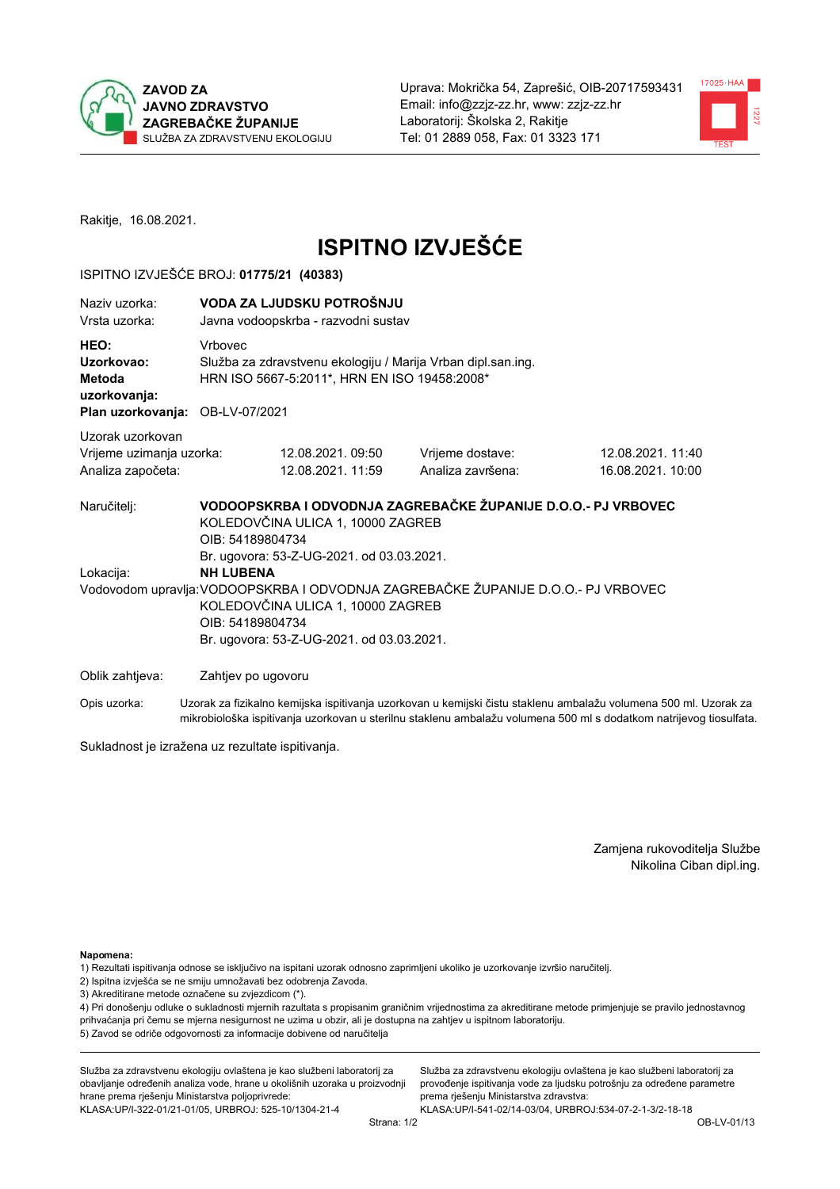



Rakitje, 16.08.2021.

# **ISPITNO IZVJEŠĆE**

## ISPITNO IZVJEŠĆE BROJ: 01775/21 (40383)

| Naziv uzorka:<br>Vrsta uzorka:                                                                                                                                                                                           |         | VODA ZA LJUDSKU POTROŠNJU<br>Javna vodoopskrba - razvodni sustav                                             |                                                               |                                                                                                                  |  |  |
|--------------------------------------------------------------------------------------------------------------------------------------------------------------------------------------------------------------------------|---------|--------------------------------------------------------------------------------------------------------------|---------------------------------------------------------------|------------------------------------------------------------------------------------------------------------------|--|--|
| HEO:<br>Uzorkovao:<br>Metoda<br>uzorkovanja:<br>Plan uzorkovanja: OB-LV-07/2021                                                                                                                                          | Vrbovec | Služba za zdravstvenu ekologiju / Marija Vrban dipl.san.ing.<br>HRN ISO 5667-5:2011*, HRN EN ISO 19458:2008* |                                                               |                                                                                                                  |  |  |
| Uzorak uzorkovan<br>Vrijeme uzimanja uzorka:<br>Analiza započeta:                                                                                                                                                        |         | 12.08.2021.09:50<br>12.08.2021. 11:59                                                                        | Vrijeme dostave:<br>Analiza završena:                         | 12.08.2021.11:40<br>16.08.2021. 10:00                                                                            |  |  |
| Naručitelj:                                                                                                                                                                                                              |         | KOLEDOVČINA ULICA 1, 10000 ZAGREB<br>OIB: 54189804734<br>Br. ugovora: 53-Z-UG-2021. od 03.03.2021.           | VODOOPSKRBA I ODVODNJA ZAGREBAČKE ŽUPANIJE D.O.O.- PJ VRBOVEC |                                                                                                                  |  |  |
| <b>NH LUBENA</b><br>Lokacija:<br>Vodovodom upravlja: VODOOPSKRBA I ODVODNJA ZAGREBAČKE ŽUPANIJE D.O.O.- PJ VRBOVEC<br>KOLEDOVČINA ULICA 1, 10000 ZAGREB<br>OIB: 54189804734<br>Br. ugovora: 53-Z-UG-2021. od 03.03.2021. |         |                                                                                                              |                                                               |                                                                                                                  |  |  |
| Oblik zahtjeva:                                                                                                                                                                                                          |         | Zahtjev po ugovoru                                                                                           |                                                               |                                                                                                                  |  |  |
| Opis uzorka:                                                                                                                                                                                                             |         |                                                                                                              |                                                               | Uzorak za fizikalno kemijska ispitivanja uzorkovan u kemijski čistu staklenu ambalažu volumena 500 ml. Uzorak za |  |  |

mikrobiološka ispitivanja uzorkovan u sterilnu staklenu ambalažu volumena 500 ml s dodatkom natrijevog tiosulfata.

Sukladnost je izražena uz rezultate ispitivanja.

Zamjena rukovoditelja Službe Nikolina Ciban dipl.ing.

Napomena:

- 1) Rezultati ispitivanja odnose se isključivo na ispitani uzorak odnosno zaprimljeni ukoliko je uzorkovanje izvršio naručitelj.
- 2) Ispitna izvješća se ne smiju umnožavati bez odobrenja Zavoda.
- 3) Akreditirane metode označene su zvjezdicom (\*).

4) Pri donošenju odluke o sukladnosti mjernih razultata s propisanim graničnim vrijednostima za akreditirane metode primjenjuje se pravilo jednostavnog prihvaćanja pri čemu se mjerna nesigurnost ne uzima u obzir, ali je dostupna na zahtjev u ispitnom laboratoriju. 5) Zavod se odriče odgovornosti za informacije dobivene od naručitelja

Služba za zdravstvenu ekologiju ovlaštena je kao službeni laboratorij za obavljanje određenih analiza vode, hrane u okolišnih uzoraka u proizvodnji hrane prema rješenju Ministarstva poljoprivrede: KLASA.UP/I-322-01/21-01/05, URBROJ: 525-10/1304-21-4

Služba za zdravstvenu ekologiju ovlaštena je kao službeni laboratorij za provođenje ispitivanja vode za ljudsku potrošnju za određene parametre prema rješenju Ministarstva zdravstva: KLASA:UP/I-541-02/14-03/04, URBROJ:534-07-2-1-3/2-18-18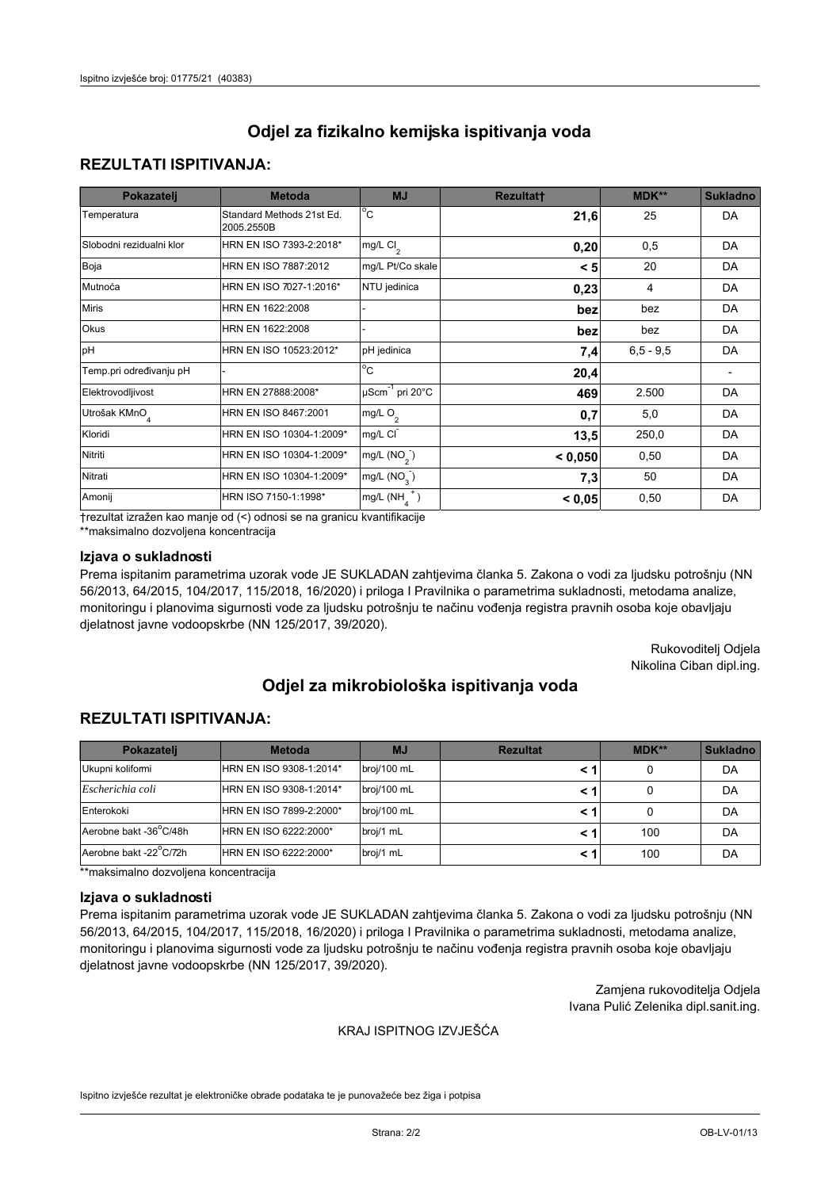## **REZULTATI ISPITIVANJA:**

| Pokazatelj                | <b>Metoda</b>                           | <b>MJ</b>                        | <b>Rezultatt</b> | MDK**       | <b>Sukladno</b> |
|---------------------------|-----------------------------------------|----------------------------------|------------------|-------------|-----------------|
| Temperatura               | Standard Methods 21st Ed.<br>2005.2550B | $^{\circ}$ C                     | 21,6             | 25          | DA              |
| Slobodni rezidualni klor  | HRN EN ISO 7393-2:2018*                 | mg/L $Cl2$                       | 0,20             | 0,5         | DA              |
| Boja                      | HRN EN ISO 7887:2012                    | mg/L Pt/Co skale                 | < 5              | 20          | DA              |
| Mutnoća                   | HRN EN ISO 7027-1:2016*                 | NTU jedinica                     | 0,23             | 4           | DA              |
| <b>Miris</b>              | HRN EN 1622:2008                        |                                  | bez              | bez         | DA              |
| Okus                      | HRN EN 1622:2008                        |                                  | bez              | bez         | DA              |
| pH                        | HRN EN ISO 10523:2012*                  | pH jedinica                      | 7,4              | $6,5 - 9,5$ | DA              |
| Temp.pri određivanju pH   |                                         | $\overline{c}$                   | 20,4             |             |                 |
| Elektrovodljivost         | HRN EN 27888:2008*                      | $\mu$ Scm <sup>-1</sup> pri 20°C | 469              | 2.500       | DA              |
| Utrošak KMnO <sub>4</sub> | HRN EN ISO 8467:2001                    | mg/L O <sub>2</sub>              | 0,7              | 5,0         | DA              |
| Kloridi                   | HRN EN ISO 10304-1:2009*                | mg/L CI                          | 13,5             | 250,0       | DA              |
| Nitriti                   | HRN EN ISO 10304-1:2009*                | mg/L $(NO2)$                     | < 0,050          | 0,50        | DA              |
| Nitrati                   | HRN EN ISO 10304-1:2009*                | mg/L (NO <sub>3</sub> )          | 7,3              | 50          | DA              |
| Amonij                    | HRN ISO 7150-1:1998*                    | mg/L $(NH_a^+)$                  | < 0,05           | 0,50        | DA              |

trezultat izražen kao manje od (<) odnosi se na granicu kvantifikacije

\*\*maksimalno dozvoljena koncentracija

## Izjava o sukladnosti

Prema ispitanim parametrima uzorak vode JE SUKLADAN zahtjevima članka 5. Zakona o vodi za ljudsku potrošnju (NN 56/2013, 64/2015, 104/2017, 115/2018, 16/2020) i priloga I Pravilnika o parametrima sukladnosti, metodama analize, monitoringu i planovima sigurnosti vode za ljudsku potrošnju te načinu vođenja registra pravnih osoba koje obavljaju djelatnost javne vodoopskrbe (NN 125/2017, 39/2020).

> Rukovoditelj Odjela Nikolina Ciban dipl.ing.

# Odjel za mikrobiološka ispitivanja voda

## **REZULTATI ISPITIVANJA:**

| Pokazateli             | <b>Metoda</b>           | <b>MJ</b>   | <b>Rezultat</b> | $MDK**$ | <b>Sukladno</b> |
|------------------------|-------------------------|-------------|-----------------|---------|-----------------|
| Ukupni kolifomi        | HRN EN ISO 9308-1:2014* | broj/100 mL |                 |         | DA              |
| Escherichia coli       | HRN EN ISO 9308-1:2014* | broj/100 mL |                 |         | DA              |
| Enterokoki             | HRN EN ISO 7899-2:2000* | broj/100 mL |                 |         | DA              |
| Aerobne bakt -36 C/48h | HRN EN ISO 6222:2000*   | broj/1 mL   |                 | 100     | DA              |
| Aerobne bakt -22 C/72h | HRN EN ISO 6222:2000*   | broj/1 mL   |                 | 100     | DA              |

\*\*maksimalno dozvoljena koncentracija

#### Izjava o sukladnosti

Prema ispitanim parametrima uzorak vode JE SUKLADAN zahtjevima članka 5. Zakona o vodi za ljudsku potrošnju (NN 56/2013, 64/2015, 104/2017, 115/2018, 16/2020) i priloga I Pravilnika o parametrima sukladnosti, metodama analize, monitoringu i planovima sigurnosti vode za ljudsku potrošnju te načinu vođenja registra pravnih osoba koje obavljaju djelatnost javne vodoopskrbe (NN 125/2017, 39/2020).

> Zamjena rukovoditelja Odjela Ivana Pulić Zelenika dipl.sanit.ing.

#### KRAJ ISPITNOG IZVJEŠĆA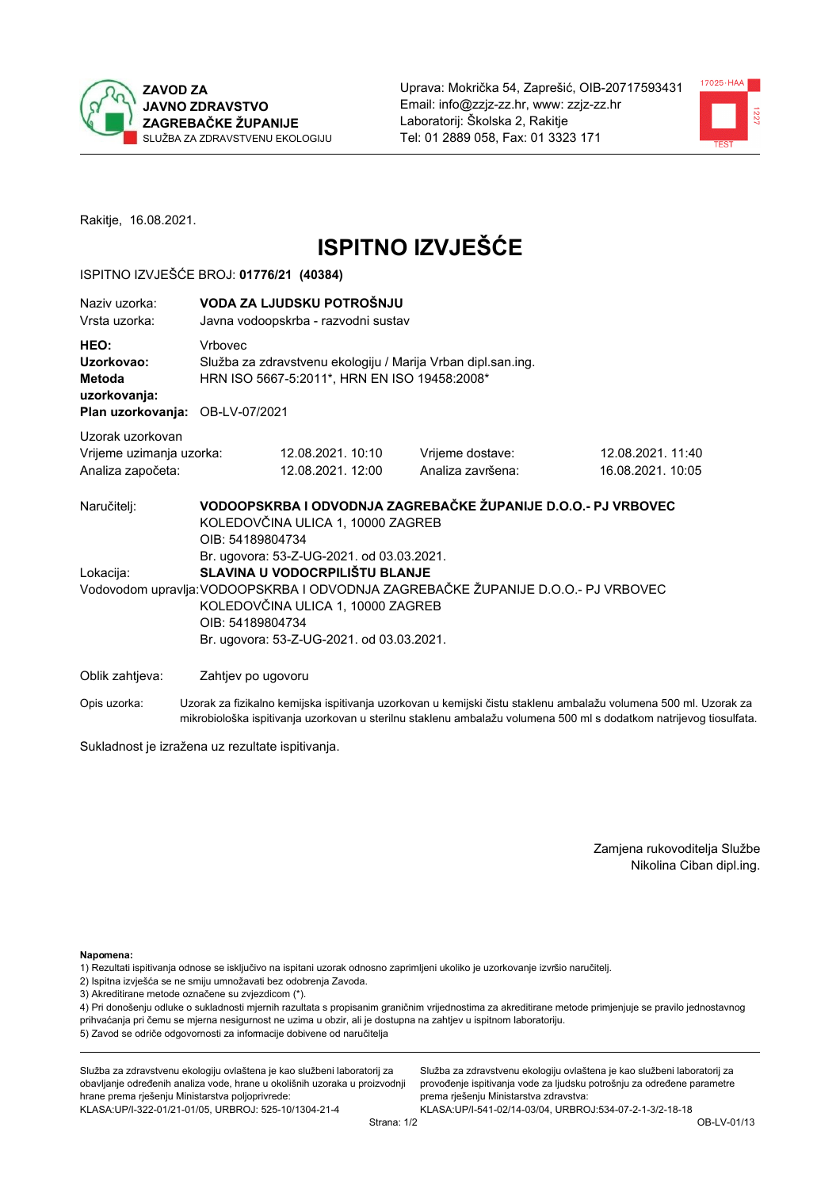



Rakitje, 16.08.2021.

# **ISPITNO IZVJEŠĆE**

## ISPITNO IZVJEŠĆE BROJ: 01776/21 (40384)

| Naziv uzorka:<br>Vrsta uzorka:                                                  |                    | VODA ZA LJUDSKU POTROŠNJU<br>Javna vodoopskrba - razvodni sustav                                                 |                                                                                   |                                       |  |  |
|---------------------------------------------------------------------------------|--------------------|------------------------------------------------------------------------------------------------------------------|-----------------------------------------------------------------------------------|---------------------------------------|--|--|
| HEO:<br>Uzorkovao:<br>Metoda<br>uzorkovanja:<br>Plan uzorkovanja: OB-LV-07/2021 | Vrbovec            | Služba za zdravstvenu ekologiju / Marija Vrban dipl.san.ing.<br>HRN ISO 5667-5:2011*, HRN EN ISO 19458:2008*     |                                                                                   |                                       |  |  |
|                                                                                 |                    |                                                                                                                  |                                                                                   |                                       |  |  |
| Uzorak uzorkovan<br>Vrijeme uzimanja uzorka:<br>Analiza započeta:               |                    | 12.08.2021. 10:10<br>12.08.2021.12:00                                                                            | Vrijeme dostave:<br>Analiza završena:                                             | 12.08.2021.11:40<br>16.08.2021. 10:05 |  |  |
| Naručitelj:                                                                     | OIB: 54189804734   | KOLEDOVČINA ULICA 1, 10000 ZAGREB<br>Br. ugovora: 53-Z-UG-2021. od 03.03.2021.                                   | VODOOPSKRBA I ODVODNJA ZAGREBAČKE ŽUPANIJE D.O.O.- PJ VRBOVEC                     |                                       |  |  |
| Lokacija:                                                                       | OIB: 54189804734   | SLAVINA U VODOCRPILIŠTU BLANJE<br>KOLEDOVČINA ULICA 1, 10000 ZAGREB<br>Br. ugovora: 53-Z-UG-2021. od 03.03.2021. | Vodovodom upravlja: VODOOPSKRBA I ODVODNJA ZAGREBAČKE ŽUPANIJE D.O.O.- PJ VRBOVEC |                                       |  |  |
| Oblik zahtjeva:                                                                 | Zahtjev po ugovoru |                                                                                                                  |                                                                                   |                                       |  |  |

Opis uzorka: Uzorak za fizikalno kemijska ispitivanja uzorkovan u kemijski čistu staklenu ambalažu volumena 500 ml. Uzorak za mikrobiološka ispitivanja uzorkovan u sterilnu staklenu ambalažu volumena 500 ml s dodatkom natrijevog tiosulfata.

Sukladnost je izražena uz rezultate ispitivanja.

Zamjena rukovoditelja Službe Nikolina Ciban dipl.ing.

Napomena:

1) Rezultati ispitivanja odnose se isključivo na ispitani uzorak odnosno zaprimljeni ukoliko je uzorkovanje izvršio naručitelj.

- 2) Ispitna izvješća se ne smiju umnožavati bez odobrenja Zavoda.
- 3) Akreditirane metode označene su zvjezdicom (\*).

4) Pri donošenju odluke o sukladnosti mjernih razultata s propisanim graničnim vrijednostima za akreditirane metode primjenjuje se pravilo jednostavnog prihvaćanja pri čemu se mjerna nesigurnost ne uzima u obzir, ali je dostupna na zahtjev u ispitnom laboratoriju. 5) Zavod se odriče odgovornosti za informacije dobivene od naručitelja

Služba za zdravstvenu ekologiju ovlaštena je kao službeni laboratorij za obavljanje određenih analiza vode, hrane u okolišnih uzoraka u proizvodnji hrane prema rješenju Ministarstva poljoprivrede: KLASA.UP/I-322-01/21-01/05, URBROJ: 525-10/1304-21-4

Služba za zdravstvenu ekologiju ovlaštena je kao službeni laboratorij za provođenje ispitivanja vode za ljudsku potrošnju za određene parametre prema rješenju Ministarstva zdravstva: KLASA: UP/I-541-02/14-03/04, URBROJ: 534-07-2-1-3/2-18-18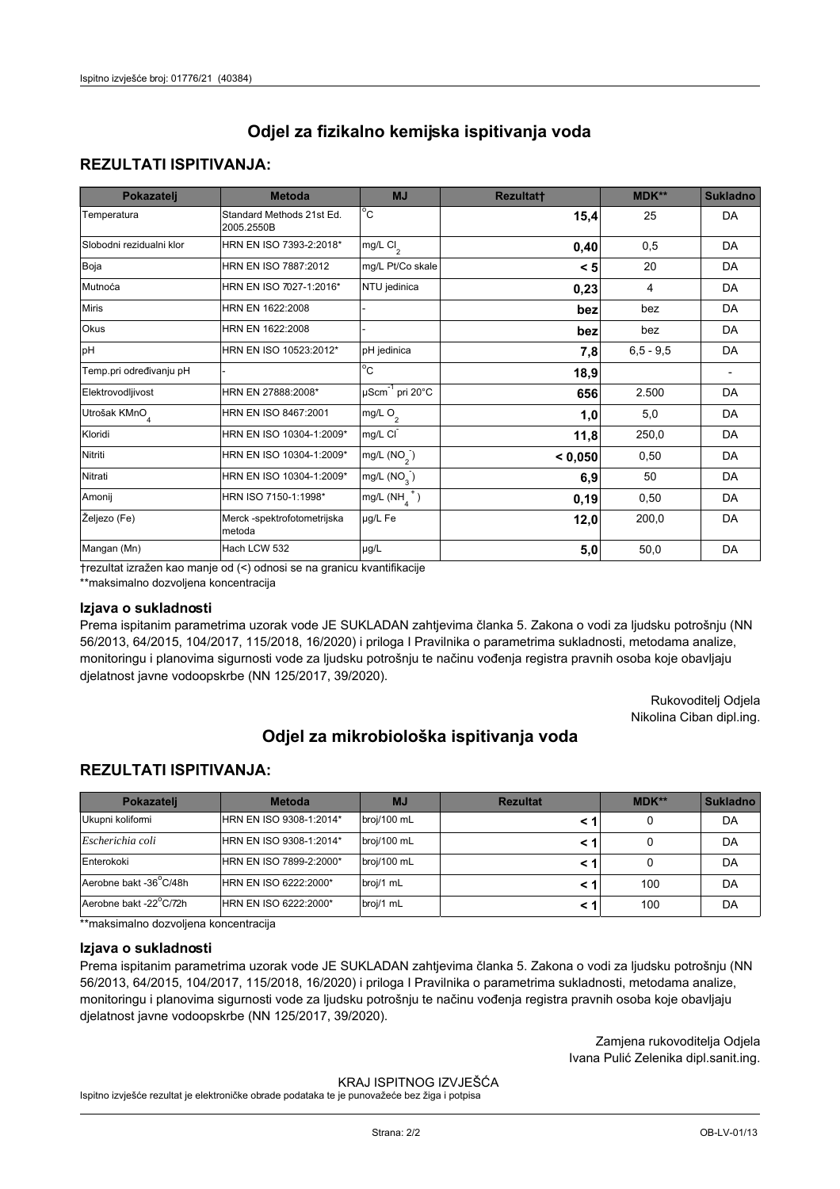## **REZULTATI ISPITIVANJA:**

| Pokazatelj                | <b>Metoda</b>                           | <b>MJ</b>                   | Rezultatt | <b>MDK**</b> | <b>Sukladno</b> |
|---------------------------|-----------------------------------------|-----------------------------|-----------|--------------|-----------------|
| Temperatura               | Standard Methods 21st Ed.<br>2005.2550B | $^{\circ}$ C                | 15,4      | 25           | DA              |
| Slobodni rezidualni klor  | HRN EN ISO 7393-2:2018*                 | mg/L $Cl2$                  | 0,40      | 0,5          | DA              |
| Boja                      | HRN EN ISO 7887:2012                    | mg/L Pt/Co skale            | < 5       | 20           | DA              |
| Mutnoća                   | HRN EN ISO 7027-1:2016*                 | NTU jedinica                | 0,23      | 4            | DA              |
| <b>Miris</b>              | HRN EN 1622:2008                        |                             | bez       | bez          | DA              |
| Okus                      | HRN EN 1622:2008                        |                             | bez       | bez          | DA              |
| pH                        | HRN EN ISO 10523:2012*                  | pH jedinica                 | 7,8       | $6,5 - 9,5$  | DA              |
| Temp.pri određivanju pH   |                                         | $\overline{c}$              | 18,9      |              |                 |
| Elektrovodljivost         | HRN EN 27888:2008*                      | µScm <sup>-1</sup> pri 20°C | 656       | 2.500        | DA              |
| Utrošak KMnO <sub>4</sub> | HRN EN ISO 8467:2001                    | mg/L $O_2$                  | 1,0       | 5,0          | DA              |
| Kloridi                   | HRN EN ISO 10304-1:2009*                | mg/L CI                     | 11,8      | 250,0        | DA              |
| Nitriti                   | HRN EN ISO 10304-1:2009*                | mg/L $(NO2)$                | < 0,050   | 0,50         | DA              |
| Nitrati                   | HRN EN ISO 10304-1:2009*                | mg/L $(NO_{3})$             | 6,9       | 50           | DA              |
| Amonij                    | HRN ISO 7150-1:1998*                    | $mg/L(NHA+)$                | 0, 19     | 0,50         | DA              |
| Željezo (Fe)              | Merck -spektrofotometrijska<br>metoda   | µg/L Fe                     | 12,0      | 200,0        | DA              |
| Mangan (Mn)               | Hach LCW 532                            | $\mu$ g/L                   | 5,0       | 50,0         | DA              |

trezultat izražen kao manie od (<) odnosi se na granicu kvantifikacije

\*\*maksimalno dozvoljena koncentracija

### Izjava o sukladnosti

Prema ispitanim parametrima uzorak vode JE SUKLADAN zahtjevima članka 5. Zakona o vodi za ljudsku potrošnju (NN 56/2013, 64/2015, 104/2017, 115/2018, 16/2020) i priloga I Pravilnika o parametrima sukladnosti, metodama analize, monitoringu i planovima sigurnosti vode za ljudsku potrošnju te načinu vođenja registra pravnih osoba koje obavljaju djelatnost javne vodoopskrbe (NN 125/2017, 39/2020).

> Rukovoditelj Odjela Nikolina Ciban dipl.ing.

# Odiel za mikrobiološka ispitivania voda

## **REZULTATI ISPITIVANJA:**

| Pokazatelj             | <b>Metoda</b>           | <b>MJ</b>   | <b>Rezultat</b> | MDK** | <b>Sukladno</b> |
|------------------------|-------------------------|-------------|-----------------|-------|-----------------|
| Ukupni kolifomi        | HRN EN ISO 9308-1:2014* | broj/100 mL |                 | 0     | DA              |
| Escherichia coli       | HRN EN ISO 9308-1:2014* | broj/100 mL | < 1             | 0     | DA              |
| Enterokoki             | HRN EN ISO 7899-2:2000* | broj/100 mL | < 1             | 0     | DA              |
| Aerobne bakt -36°C/48h | HRN EN ISO 6222:2000*   | broj/1 mL   | < 1             | 100   | DA              |
| Aerobne bakt -22°C/72h | HRN EN ISO 6222:2000*   | broj/1 mL   | < 1             | 100   | DA              |

\*\*maksimalno dozvoliena koncentracija

### Izjava o sukladnosti

Prema ispitanim parametrima uzorak vode JE SUKLADAN zahtjevima članka 5. Zakona o vodi za ljudsku potrošnju (NN 56/2013, 64/2015, 104/2017, 115/2018, 16/2020) i priloga I Pravilnika o parametrima sukladnosti, metodama analize, monitoringu i planovima sigurnosti vode za ljudsku potrošnju te načinu vođenja registra pravnih osoba koje obavljaju djelatnost javne vodoopskrbe (NN 125/2017, 39/2020).

> Zamjena rukovoditelja Odjela Ivana Pulić Zelenika dipl.sanit.ing.

#### KRAJ ISPITNOG IZVJEŠĆA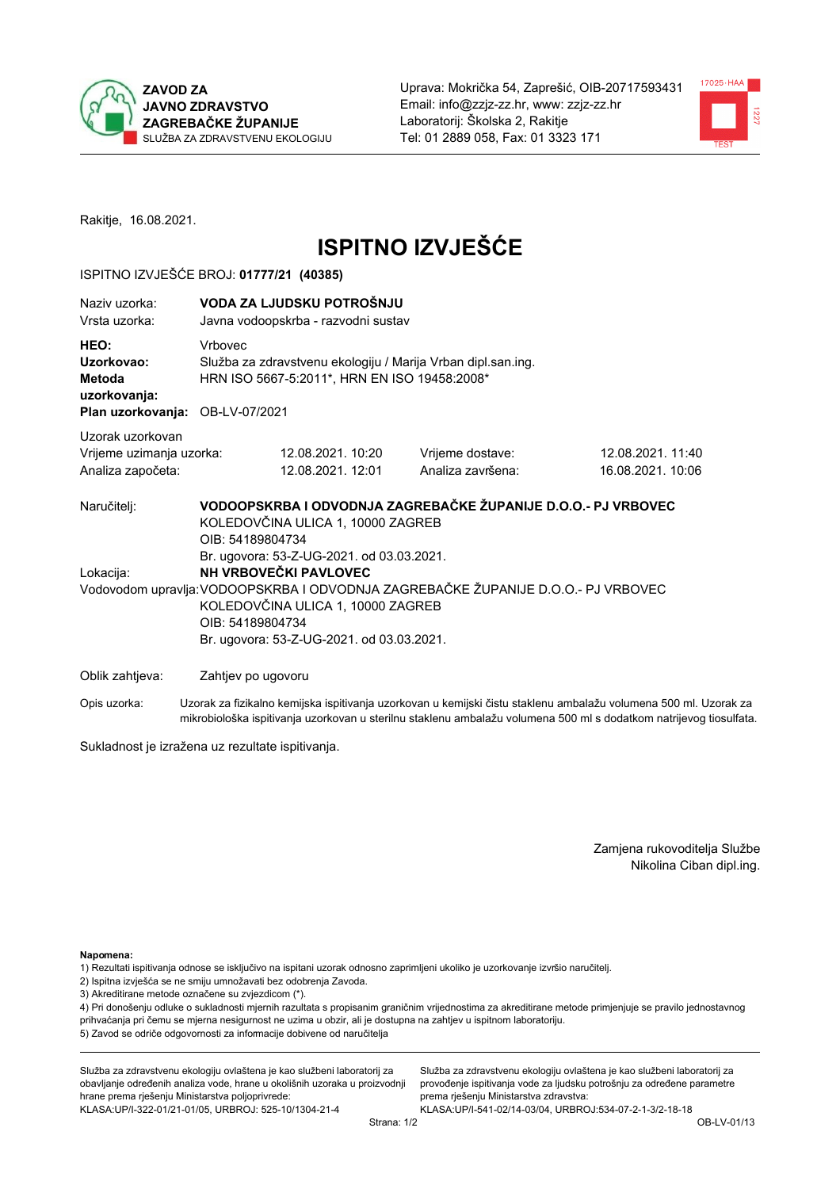



Rakitje, 16.08.2021.

# **ISPITNO IZVJEŠĆE**

## ISPITNO IZVJEŠĆE BROJ: 01777/21 (40385)

| Naziv uzorka:<br>Vrsta uzorka:                                                  |         | VODA ZA LJUDSKU POTROŠNJU<br>Javna vodoopskrba - razvodni sustav                                                                                                                                                                                                                                                                                                                        |                                       |                                                                                                                  |  |  |  |
|---------------------------------------------------------------------------------|---------|-----------------------------------------------------------------------------------------------------------------------------------------------------------------------------------------------------------------------------------------------------------------------------------------------------------------------------------------------------------------------------------------|---------------------------------------|------------------------------------------------------------------------------------------------------------------|--|--|--|
| HEO:<br>Uzorkovao:<br>Metoda<br>uzorkovanja:<br>Plan uzorkovanja: OB-LV-07/2021 | Vrbovec | Služba za zdravstvenu ekologiju / Marija Vrban dipl.san.ing.<br>HRN ISO 5667-5:2011*, HRN EN ISO 19458:2008*                                                                                                                                                                                                                                                                            |                                       |                                                                                                                  |  |  |  |
| Uzorak uzorkovan<br>Vrijeme uzimanja uzorka:<br>Analiza započeta:               |         | 12.08.2021. 10:20<br>12.08.2021. 12:01                                                                                                                                                                                                                                                                                                                                                  | Vrijeme dostave:<br>Analiza završena: | 12.08.2021.11:40<br>16.08.2021. 10:06                                                                            |  |  |  |
| Naručitelj:<br>Lokacija:                                                        |         | VODOOPSKRBA I ODVODNJA ZAGREBAČKE ŽUPANIJE D.O.O.- PJ VRBOVEC<br>KOLEDOVČINA ULICA 1, 10000 ZAGREB<br>OIB: 54189804734<br>Br. ugovora: 53-Z-UG-2021. od 03.03.2021.<br>NH VRBOVEČKI PAVLOVEC<br>Vodovodom upravlja: VODOOPSKRBA I ODVODNJA ZAGREBAČKE ŽUPANIJE D.O.O.- PJ VRBOVEC<br>KOLEDOVČINA ULICA 1, 10000 ZAGREB<br>OIB: 54189804734<br>Br. ugovora: 53-Z-UG-2021. od 03.03.2021. |                                       |                                                                                                                  |  |  |  |
| Oblik zahtjeva:                                                                 |         | Zahtjev po ugovoru                                                                                                                                                                                                                                                                                                                                                                      |                                       |                                                                                                                  |  |  |  |
| Opis uzorka:                                                                    |         |                                                                                                                                                                                                                                                                                                                                                                                         |                                       | Uzorak za fizikalno kemijska ispitivanja uzorkovan u kemijski čistu staklenu ambalažu volumena 500 ml. Uzorak za |  |  |  |

mikrobiološka ispitivanja uzorkovan u sterilnu staklenu ambalažu volumena 500 ml s dodatkom natrijevog tiosulfata.

Sukladnost je izražena uz rezultate ispitivanja.

Zamjena rukovoditelja Službe Nikolina Ciban dipl.ing.

Napomena:

1) Rezultati ispitivanja odnose se isključivo na ispitani uzorak odnosno zaprimljeni ukoliko je uzorkovanje izvršio naručitelj.

- 2) Ispitna izvješća se ne smiju umnožavati bez odobrenja Zavoda.
- 3) Akreditirane metode označene su zvjezdicom (\*).

4) Pri donošenju odluke o sukladnosti mjernih razultata s propisanim graničnim vrijednostima za akreditirane metode primjenjuje se pravilo jednostavnog prihvaćanja pri čemu se mjerna nesigurnost ne uzima u obzir, ali je dostupna na zahtjev u ispitnom laboratoriju. 5) Zavod se odriče odgovornosti za informacije dobivene od naručitelja

Služba za zdravstvenu ekologiju ovlaštena je kao službeni laboratorij za obavljanje određenih analiza vode, hrane u okolišnih uzoraka u proizvodnji hrane prema rješenju Ministarstva poljoprivrede: KLASA.UP/I-322-01/21-01/05, URBROJ: 525-10/1304-21-4

Služba za zdravstvenu ekologiju ovlaštena je kao službeni laboratorij za provođenje ispitivanja vode za ljudsku potrošnju za određene parametre prema rješenju Ministarstva zdravstva: KLASA: UP/I-541-02/14-03/04, URBROJ: 534-07-2-1-3/2-18-18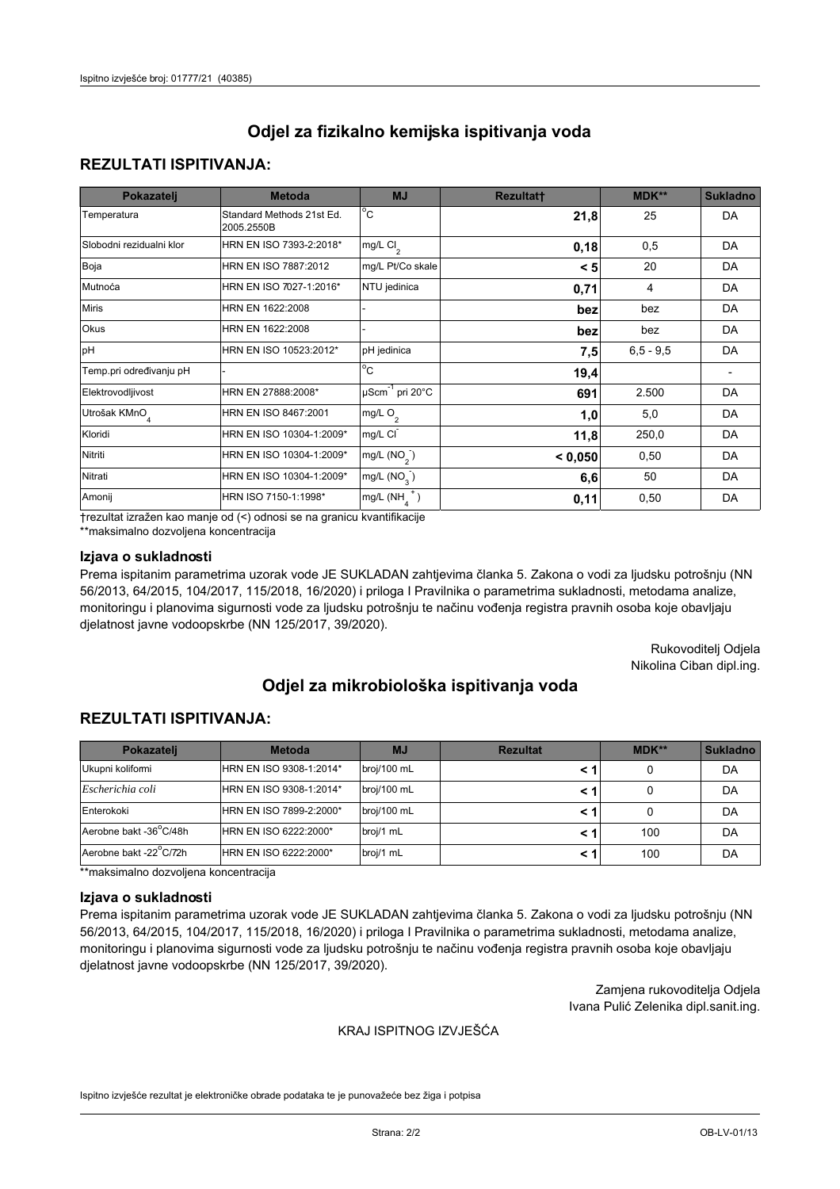## **REZULTATI ISPITIVANJA:**

| Pokazatelj                | <b>Metoda</b>                           | <b>MJ</b>                        | <b>Rezultatt</b> | <b>MDK**</b> | <b>Sukladno</b> |
|---------------------------|-----------------------------------------|----------------------------------|------------------|--------------|-----------------|
| Temperatura               | Standard Methods 21st Ed.<br>2005.2550B | $^{\circ}$ C                     | 21,8             | 25           | DA              |
| Slobodni rezidualni klor  | HRN EN ISO 7393-2:2018*                 | $mg/L$ Cl <sub>2</sub>           | 0,18             | 0,5          | DA              |
| Boja                      | HRN EN ISO 7887:2012                    | mg/L Pt/Co skale                 | < 5              | 20           | DA              |
| Mutnoća                   | HRN EN ISO 7027-1:2016*                 | NTU jedinica                     | 0,71             | 4            | DA              |
| <b>Miris</b>              | HRN EN 1622:2008                        |                                  | bez              | bez          | DA              |
| Okus                      | HRN EN 1622:2008                        |                                  | bez              | bez          | DA              |
| pH                        | HRN EN ISO 10523:2012*                  | pH jedinica                      | 7,5              | $6,5 - 9,5$  | DA              |
| Temp.pri određivanju pH   |                                         | $\overline{c}$                   | 19,4             |              |                 |
| Elektrovodljivost         | HRN EN 27888:2008*                      | $\mu$ Scm <sup>-1</sup> pri 20°C | 691              | 2.500        | DA              |
| Utrošak KMnO <sub>4</sub> | HRN EN ISO 8467:2001                    | mg/L $O_2$                       | 1,0              | 5,0          | DA              |
| Kloridi                   | HRN EN ISO 10304-1:2009*                | mg/L CI                          | 11,8             | 250,0        | DA              |
| Nitriti                   | HRN EN ISO 10304-1:2009*                | mg/L (NO <sub>2</sub> )          | < 0,050          | 0,50         | DA              |
| Nitrati                   | HRN EN ISO 10304-1:2009*                | mg/L $(NO3)$                     | 6,6              | 50           | DA              |
| Amonij                    | HRN ISO 7150-1:1998*                    | mg/L $(NH_{\lambda}^{\dagger})$  | 0,11             | 0,50         | DA              |

trezultat izražen kao manje od (<) odnosi se na granicu kvantifikacije

\*\*maksimalno dozvoljena koncentracija

## Izjava o sukladnosti

Prema ispitanim parametrima uzorak vode JE SUKLADAN zahtjevima članka 5. Zakona o vodi za ljudsku potrošnju (NN 56/2013, 64/2015, 104/2017, 115/2018, 16/2020) i priloga I Pravilnika o parametrima sukladnosti, metodama analize, monitoringu i planovima sigurnosti vode za ljudsku potrošnju te načinu vođenja registra pravnih osoba koje obavljaju djelatnost javne vodoopskrbe (NN 125/2017, 39/2020).

> Rukovoditelj Odjela Nikolina Ciban dipl.ing.

# Odjel za mikrobiološka ispitivanja voda

## **REZULTATI ISPITIVANJA:**

| Pokazateli             | <b>Metoda</b>           | <b>MJ</b>   | <b>Rezultat</b> | $MDK**$ | <b>Sukladno</b> |
|------------------------|-------------------------|-------------|-----------------|---------|-----------------|
| Ukupni kolifomi        | HRN EN ISO 9308-1:2014* | broj/100 mL |                 |         | DA              |
| Escherichia coli       | HRN EN ISO 9308-1:2014* | broj/100 mL |                 |         | DA              |
| Enterokoki             | HRN EN ISO 7899-2:2000* | broj/100 mL |                 |         | DA              |
| Aerobne bakt -36 C/48h | HRN EN ISO 6222:2000*   | broj/1 mL   |                 | 100     | DA              |
| Aerobne bakt -22 C/72h | HRN EN ISO 6222:2000*   | broj/1 mL   |                 | 100     | DA              |

\*\*maksimalno dozvoljena koncentracija

#### Izjava o sukladnosti

Prema ispitanim parametrima uzorak vode JE SUKLADAN zahtjevima članka 5. Zakona o vodi za ljudsku potrošnju (NN 56/2013, 64/2015, 104/2017, 115/2018, 16/2020) i priloga I Pravilnika o parametrima sukladnosti, metodama analize, monitoringu i planovima sigurnosti vode za ljudsku potrošnju te načinu vođenja registra pravnih osoba koje obavljaju djelatnost javne vodoopskrbe (NN 125/2017, 39/2020).

> Zamjena rukovoditelja Odjela Ivana Pulić Zelenika dipl.sanit.ing.

### KRAJ ISPITNOG IZVJEŠĆA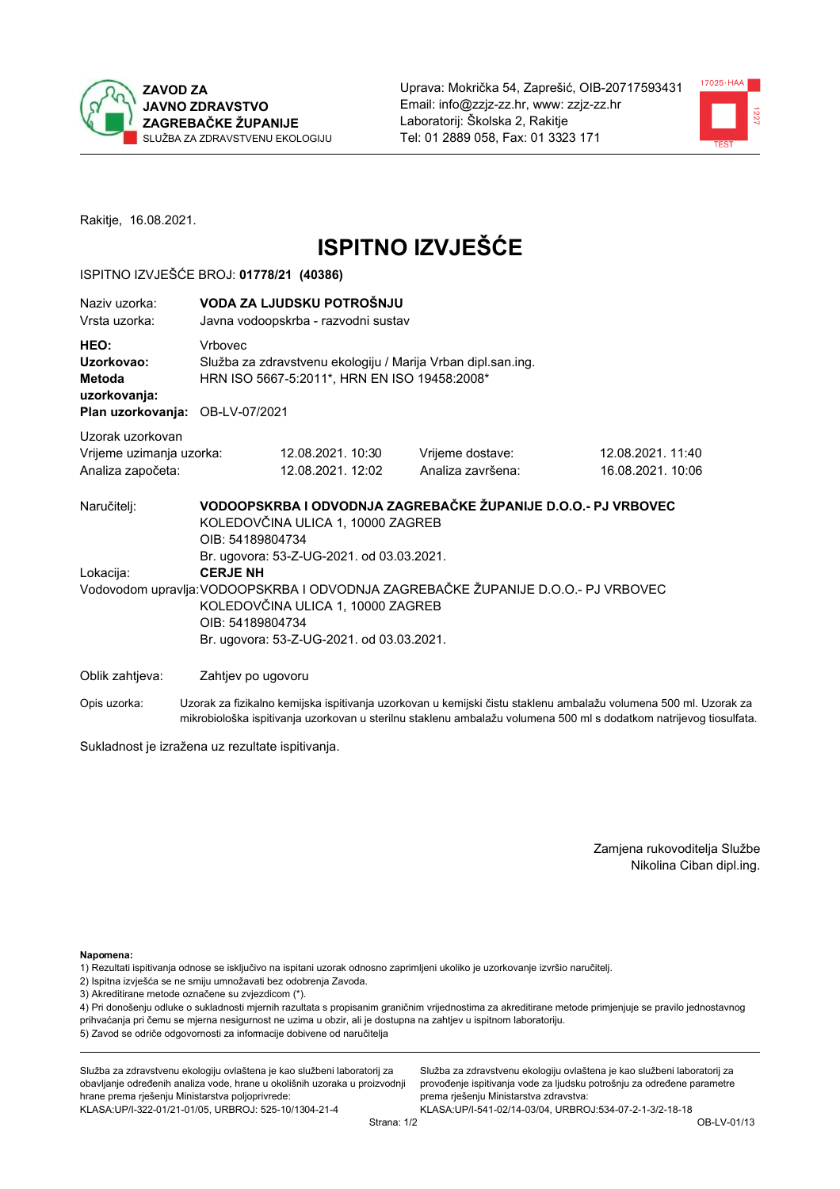



Rakitje, 16.08.2021.

# **ISPITNO IZVJEŠĆE**

## ISPITNO IZVJEŠĆE BROJ: 01778/21 (40386)

| Naziv uzorka:<br>Vrsta uzorka:                                                  |                  | VODA ZA LJUDSKU POTROŠNJU<br>Javna vodoopskrba - razvodni sustav                                             |                                                                                   |                                                                                                                  |  |  |  |
|---------------------------------------------------------------------------------|------------------|--------------------------------------------------------------------------------------------------------------|-----------------------------------------------------------------------------------|------------------------------------------------------------------------------------------------------------------|--|--|--|
| HEO:<br>Uzorkovao:<br>Metoda<br>uzorkovanja:<br>Plan uzorkovanja: OB-LV-07/2021 | Vrbovec          | Služba za zdravstvenu ekologiju / Marija Vrban dipl.san.ing.<br>HRN ISO 5667-5:2011*, HRN EN ISO 19458:2008* |                                                                                   |                                                                                                                  |  |  |  |
| Uzorak uzorkovan                                                                |                  |                                                                                                              |                                                                                   |                                                                                                                  |  |  |  |
| Vrijeme uzimanja uzorka:                                                        |                  | 12.08.2021. 10:30                                                                                            | Vrijeme dostave:                                                                  | 12.08.2021.11:40                                                                                                 |  |  |  |
| Analiza započeta:                                                               |                  | 12.08.2021. 12:02                                                                                            | Analiza završena:                                                                 | 16.08.2021. 10:06                                                                                                |  |  |  |
| Naručitelj:                                                                     | OIB: 54189804734 | KOLEDOVČINA ULICA 1, 10000 ZAGREB<br>Br. ugovora: 53-Z-UG-2021. od 03.03.2021.                               | VODOOPSKRBA I ODVODNJA ZAGREBAČKE ŽUPANIJE D.O.O.- PJ VRBOVEC                     |                                                                                                                  |  |  |  |
| Lokacija:                                                                       | <b>CERJE NH</b>  |                                                                                                              |                                                                                   |                                                                                                                  |  |  |  |
|                                                                                 | OIB: 54189804734 | KOLEDOVČINA ULICA 1, 10000 ZAGREB<br>Br. ugovora: 53-Z-UG-2021. od 03.03.2021.                               | Vodovodom upravlja: VODOOPSKRBA I ODVODNJA ZAGREBAČKE ŽUPANIJE D.O.O.- PJ VRBOVEC |                                                                                                                  |  |  |  |
| Oblik zahtjeva:                                                                 |                  | Zahtjev po ugovoru                                                                                           |                                                                                   |                                                                                                                  |  |  |  |
| Opis uzorka:                                                                    |                  |                                                                                                              |                                                                                   | Uzorak za fizikalno kemijska ispitivanja uzorkovan u kemijski čistu staklenu ambalažu volumena 500 ml. Uzorak za |  |  |  |

Sukladnost je izražena uz rezultate ispitivanja.

Zamjena rukovoditelja Službe Nikolina Ciban dipl.ing.

Napomena:

- 1) Rezultati ispitivanja odnose se isključivo na ispitani uzorak odnosno zaprimljeni ukoliko je uzorkovanje izvršio naručitelj.
- 2) Ispitna izvješća se ne smiju umnožavati bez odobrenja Zavoda.
- 3) Akreditirane metode označene su zvjezdicom (\*).

4) Pri donošenju odluke o sukladnosti mjernih razultata s propisanim graničnim vrijednostima za akreditirane metode primjenjuje se pravilo jednostavnog prihvaćanja pri čemu se mjerna nesigurnost ne uzima u obzir, ali je dostupna na zahtjev u ispitnom laboratoriju. 5) Zavod se odriče odgovornosti za informacije dobivene od naručitelja

mikrobiološka ispitivanja uzorkovan u sterilnu staklenu ambalažu volumena 500 ml s dodatkom natrijevog tiosulfata.

Služba za zdravstvenu ekologiju ovlaštena je kao službeni laboratorij za obavljanje određenih analiza vode, hrane u okolišnih uzoraka u proizvodnji hrane prema rješenju Ministarstva poljoprivrede: KLASA: UP/I-322-01/21-01/05, URBROJ: 525-10/1304-21-4

Služba za zdravstvenu ekologiju ovlaštena je kao službeni laboratorij za provođenje ispitivanja vode za ljudsku potrošnju za određene parametre prema rješenju Ministarstva zdravstva: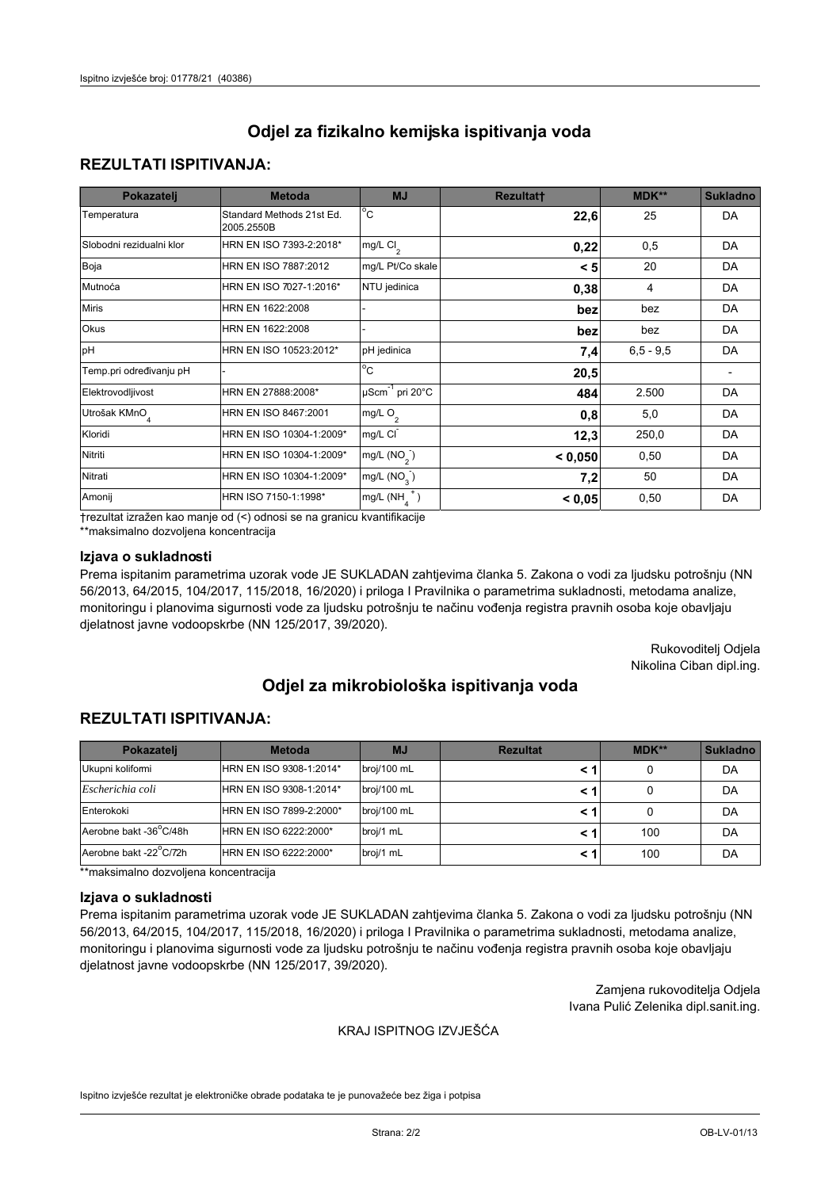## **REZULTATI ISPITIVANJA:**

| Pokazatelj                | <b>Metoda</b>                           | <b>MJ</b>                        | <b>Rezultatt</b> | MDK**       | <b>Sukladno</b> |
|---------------------------|-----------------------------------------|----------------------------------|------------------|-------------|-----------------|
| Temperatura               | Standard Methods 21st Ed.<br>2005.2550B | $^{\circ}$ C                     | 22,6             | 25          | DA              |
| Slobodni rezidualni klor  | HRN EN ISO 7393-2:2018*                 | mg/L $Cl2$                       | 0,22             | 0,5         | DA              |
| Boja                      | HRN EN ISO 7887:2012                    | mg/L Pt/Co skale                 | < 5              | 20          | DA              |
| Mutnoća                   | HRN EN ISO 7027-1:2016*                 | NTU jedinica                     | 0,38             | 4           | DA              |
| <b>Miris</b>              | HRN EN 1622:2008                        |                                  | bez              | bez         | DA              |
| Okus                      | HRN EN 1622:2008                        |                                  | bez              | bez         | DA              |
| pH                        | HRN EN ISO 10523:2012*                  | pH jedinica                      | 7,4              | $6,5 - 9,5$ | DA              |
| Temp.pri određivanju pH   |                                         | $\overline{c}$                   | 20,5             |             |                 |
| Elektrovodljivost         | HRN EN 27888:2008*                      | $\mu$ Scm <sup>-1</sup> pri 20°C | 484              | 2.500       | DA              |
| Utrošak KMnO <sub>4</sub> | HRN EN ISO 8467:2001                    | mg/L O <sub>2</sub>              | 0,8              | 5,0         | DA              |
| Kloridi                   | HRN EN ISO 10304-1:2009*                | mg/L CI                          | 12,3             | 250,0       | DA              |
| Nitriti                   | HRN EN ISO 10304-1:2009*                | mg/L $(NO2)$                     | < 0,050          | 0,50        | DA              |
| Nitrati                   | HRN EN ISO 10304-1:2009*                | mg/L (NO <sub>3</sub> )          | 7,2              | 50          | DA              |
| Amonij                    | HRN ISO 7150-1:1998*                    | mg/L $(NH_a^+)$                  | < 0,05           | 0,50        | DA              |

trezultat izražen kao manje od (<) odnosi se na granicu kvantifikacije

\*\*maksimalno dozvoljena koncentracija

## Izjava o sukladnosti

Prema ispitanim parametrima uzorak vode JE SUKLADAN zahtjevima članka 5. Zakona o vodi za ljudsku potrošnju (NN 56/2013, 64/2015, 104/2017, 115/2018, 16/2020) i priloga I Pravilnika o parametrima sukladnosti, metodama analize, monitoringu i planovima sigurnosti vode za ljudsku potrošnju te načinu vođenja registra pravnih osoba koje obavljaju djelatnost javne vodoopskrbe (NN 125/2017, 39/2020).

> Rukovoditelj Odjela Nikolina Ciban dipl.ing.

# Odjel za mikrobiološka ispitivanja voda

## **REZULTATI ISPITIVANJA:**

| Pokazateli             | <b>Metoda</b>           | <b>MJ</b>   | <b>Rezultat</b> | $MDK**$ | <b>Sukladno</b> |
|------------------------|-------------------------|-------------|-----------------|---------|-----------------|
| Ukupni kolifomi        | HRN EN ISO 9308-1:2014* | broj/100 mL |                 |         | DA              |
| Escherichia coli       | HRN EN ISO 9308-1:2014* | broj/100 mL |                 |         | DA              |
| Enterokoki             | HRN EN ISO 7899-2:2000* | broj/100 mL |                 |         | DA              |
| Aerobne bakt -36 C/48h | HRN EN ISO 6222:2000*   | broj/1 mL   |                 | 100     | DA              |
| Aerobne bakt -22 C/72h | HRN EN ISO 6222:2000*   | broj/1 mL   |                 | 100     | DA              |

\*\*maksimalno dozvoljena koncentracija

#### Izjava o sukladnosti

Prema ispitanim parametrima uzorak vode JE SUKLADAN zahtjevima članka 5. Zakona o vodi za ljudsku potrošnju (NN 56/2013, 64/2015, 104/2017, 115/2018, 16/2020) i priloga I Pravilnika o parametrima sukladnosti, metodama analize, monitoringu i planovima sigurnosti vode za ljudsku potrošnju te načinu vođenja registra pravnih osoba koje obavljaju djelatnost javne vodoopskrbe (NN 125/2017, 39/2020).

> Zamjena rukovoditelja Odjela Ivana Pulić Zelenika dipl.sanit.ing.

### KRAJ ISPITNOG IZVJEŠĆA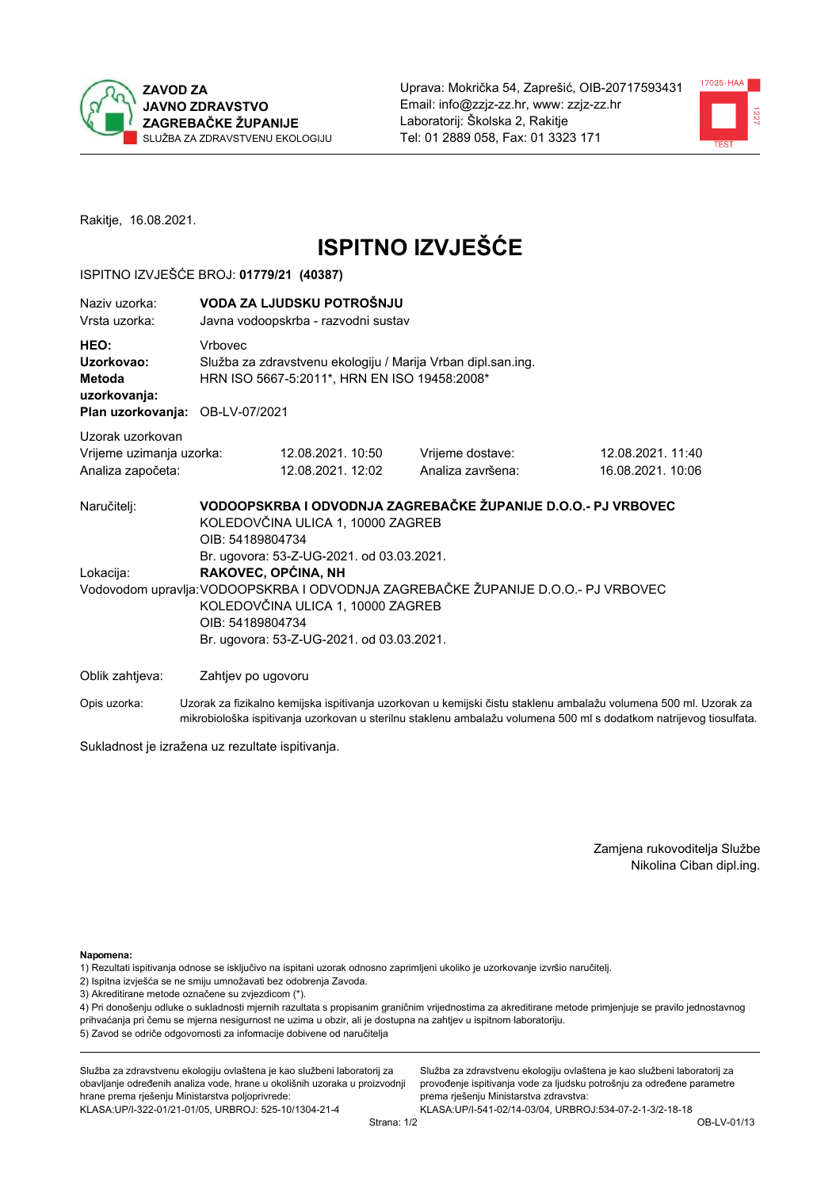



Rakitje, 16.08.2021.

# **ISPITNO IZVJEŠĆE**

## ISPITNO IZVJEŠĆE BROJ: 01779/21 (40387)

| Naziv uzorka:<br>Vrsta uzorka:                                                  |         | VODA ZA LJUDSKU POTROŠNJU<br>Javna vodoopskrba - razvodni sustav                                                                                                                   |                                                                                                                                                    |                                                                                                                  |  |  |  |
|---------------------------------------------------------------------------------|---------|------------------------------------------------------------------------------------------------------------------------------------------------------------------------------------|----------------------------------------------------------------------------------------------------------------------------------------------------|------------------------------------------------------------------------------------------------------------------|--|--|--|
| HEO:<br>Uzorkovao:<br>Metoda<br>uzorkovanja:<br>Plan uzorkovanja: OB-LV-07/2021 | Vrbovec | Služba za zdravstvenu ekologiju / Marija Vrban dipl.san.ing.<br>HRN ISO 5667-5:2011*, HRN EN ISO 19458:2008*                                                                       |                                                                                                                                                    |                                                                                                                  |  |  |  |
| Uzorak uzorkovan<br>Vrijeme uzimanja uzorka:<br>Analiza započeta:               |         | 12.08.2021. 10:50<br>12.08.2021. 12:02                                                                                                                                             | Vrijeme dostave:<br>Analiza završena:                                                                                                              | 12.08.2021.11:40<br>16.08.2021. 10:06                                                                            |  |  |  |
| Naručitelj:<br>Lokacija:                                                        |         | KOLEDOVČINA ULICA 1, 10000 ZAGREB<br>OIB: 54189804734<br>Br. ugovora: 53-Z-UG-2021. od 03.03.2021.<br>RAKOVEC, OPĆINA, NH<br>KOLEDOVČINA ULICA 1, 10000 ZAGREB<br>OIB: 54189804734 | VODOOPSKRBA I ODVODNJA ZAGREBAČKE ŽUPANIJE D.O.O.- PJ VRBOVEC<br>Vodovodom upravlja: VODOOPSKRBA I ODVODNJA ZAGREBAČKE ŽUPANIJE D.O.O.- PJ VRBOVEC |                                                                                                                  |  |  |  |
| Oblik zahtjeva:                                                                 |         | Br. ugovora: 53-Z-UG-2021. od 03.03.2021.<br>Zahtjev po ugovoru                                                                                                                    |                                                                                                                                                    |                                                                                                                  |  |  |  |
| Opis uzorka:                                                                    |         |                                                                                                                                                                                    |                                                                                                                                                    | Uzorak za fizikalno kemijska ispitivanja uzorkovan u kemijski čistu staklenu ambalažu volumena 500 ml. Uzorak za |  |  |  |

mikrobiološka ispitivanja uzorkovan u sterilnu staklenu ambalažu volumena 500 ml s dodatkom natrijevog tiosulfata.

Sukladnost je izražena uz rezultate ispitivanja.

Zamjena rukovoditelja Službe Nikolina Ciban dipl.ing.

Napomena:

- 1) Rezultati ispitivanja odnose se isključivo na ispitani uzorak odnosno zaprimljeni ukoliko je uzorkovanje izvršio naručitelj.
- 2) Ispitna izvješća se ne smiju umnožavati bez odobrenja Zavoda.
- 3) Akreditirane metode označene su zvjezdicom (\*).

4) Pri donošenju odluke o sukladnosti mjernih razultata s propisanim graničnim vrijednostima za akreditirane metode primjenjuje se pravilo jednostavnog prihvaćanja pri čemu se mjerna nesigurnost ne uzima u obzir, ali je dostupna na zahtjev u ispitnom laboratoriju. 5) Zavod se odriče odgovornosti za informacije dobivene od naručitelja

Služba za zdravstvenu ekologiju ovlaštena je kao službeni laboratorij za obavljanje određenih analiza vode, hrane u okolišnih uzoraka u proizvodnji hrane prema rješenju Ministarstva poljoprivrede: KLASA.UP/I-322-01/21-01/05, URBROJ: 525-10/1304-21-4

Služba za zdravstvenu ekologiju ovlaštena je kao službeni laboratorij za provođenje ispitivanja vode za ljudsku potrošnju za određene parametre prema rješenju Ministarstva zdravstva: KLASA:UP/I-541-02/14-03/04, URBROJ:534-07-2-1-3/2-18-18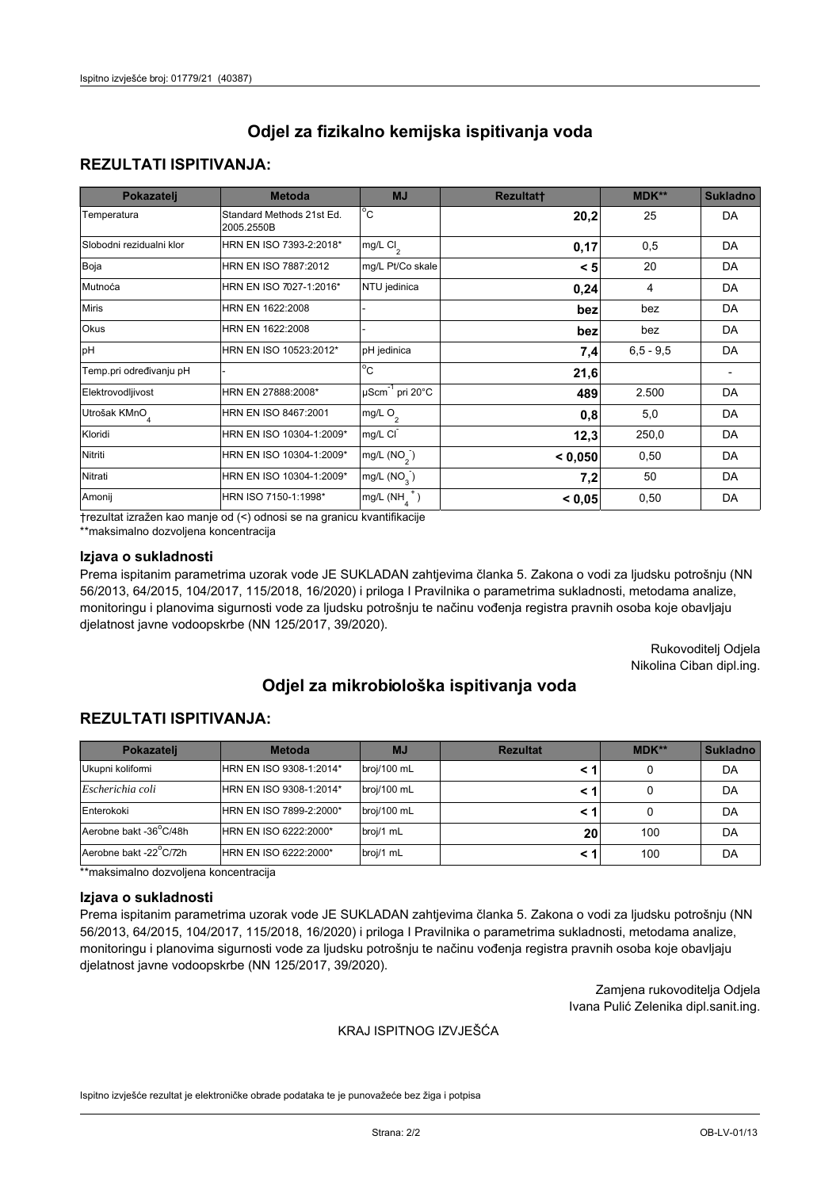## **REZULTATI ISPITIVANJA:**

| Pokazatelj                | <b>Metoda</b>                           | <b>MJ</b>                                | <b>Rezultatt</b> | <b>MDK**</b> | <b>Sukladno</b> |
|---------------------------|-----------------------------------------|------------------------------------------|------------------|--------------|-----------------|
| Temperatura               | Standard Methods 21st Ed.<br>2005.2550B | $\overline{C}$                           | 20,2             | 25           | DA              |
| Slobodni rezidualni klor  | HRN EN ISO 7393-2:2018*                 | $\overline{\text{mg/L}}$ Cl <sub>2</sub> | 0,17             | 0,5          | DA              |
| Boja                      | HRN EN ISO 7887:2012                    | mg/L Pt/Co skale                         | < 5              | 20           | DA              |
| Mutnoća                   | HRN EN ISO 7027-1:2016*                 | NTU jedinica                             | 0,24             | 4            | DA              |
| <b>Miris</b>              | HRN EN 1622:2008                        |                                          | bez              | bez          | DA              |
| Okus                      | HRN EN 1622:2008                        |                                          | bez              | bez          | DA              |
| pH                        | HRN EN ISO 10523:2012*                  | pH jedinica                              | 7,4              | $6.5 - 9.5$  | DA              |
| Temp.pri određivanju pH   |                                         | $\overline{c}$                           | 21,6             |              |                 |
| Elektrovodljivost         | HRN EN 27888:2008*                      | $\mu$ Scm <sup>-1</sup> pri 20°C         | 489              | 2.500        | DA              |
| Utrošak KMnO <sub>4</sub> | HRN EN ISO 8467:2001                    | mg/L $O_2$                               | 0,8              | 5,0          | DA              |
| Kloridi                   | HRN EN ISO 10304-1:2009*                | mg/L CI                                  | 12,3             | 250,0        | DA              |
| Nitriti                   | HRN EN ISO 10304-1:2009*                | mg/L $(NO2)$                             | < 0.050          | 0,50         | DA              |
| Nitrati                   | HRN EN ISO 10304-1:2009*                | mg/L $(NO3)$                             | 7,2              | 50           | DA              |
| Amonij                    | HRN ISO 7150-1:1998*                    | mg/L $(NH_{\lambda}^{\dagger})$          | < 0,05           | 0,50         | DA              |

trezultat izražen kao manje od (<) odnosi se na granicu kvantifikacije

\*\*maksimalno dozvoljena koncentracija

#### Izjava o sukladnosti

Prema ispitanim parametrima uzorak vode JE SUKLADAN zahtjevima članka 5. Zakona o vodi za ljudsku potrošnju (NN 56/2013, 64/2015, 104/2017, 115/2018, 16/2020) i priloga I Pravilnika o parametrima sukladnosti, metodama analize, monitoringu i planovima sigurnosti vode za ljudsku potrošnju te načinu vođenja registra pravnih osoba koje obavljaju djelatnost javne vodoopskrbe (NN 125/2017, 39/2020).

> Rukovoditelj Odjela Nikolina Ciban dipl.ing.

# Odjel za mikrobiološka ispitivanja voda

## **REZULTATI ISPITIVANJA:**

| Pokazateli             | <b>Metoda</b>           | <b>MJ</b>   | <b>Rezultat</b> | $MDK**$ | <b>Sukladno</b> |
|------------------------|-------------------------|-------------|-----------------|---------|-----------------|
| Ukupni kolifomi        | HRN EN ISO 9308-1:2014* | broj/100 mL |                 |         | DA              |
| Escherichia coli       | HRN EN ISO 9308-1:2014* | broj/100 mL |                 |         | DA              |
| Enterokoki             | HRN EN ISO 7899-2:2000* | broj/100 mL |                 |         | DA              |
| Aerobne bakt -36 C/48h | HRN EN ISO 6222:2000*   | broj/1 mL   | 20              | 100     | DA              |
| Aerobne bakt -22 C/72h | HRN EN ISO 6222:2000*   | broj/1 mL   |                 | 100     | DA              |

\*\*maksimalno dozvoljena koncentracija

#### Izjava o sukladnosti

Prema ispitanim parametrima uzorak vode JE SUKLADAN zahtjevima članka 5. Zakona o vodi za ljudsku potrošnju (NN 56/2013, 64/2015, 104/2017, 115/2018, 16/2020) i priloga I Pravilnika o parametrima sukladnosti, metodama analize, monitoringu i planovima sigurnosti vode za ljudsku potrošnju te načinu vođenja registra pravnih osoba koje obavljaju djelatnost javne vodoopskrbe (NN 125/2017, 39/2020).

> Zamjena rukovoditelja Odjela Ivana Pulić Zelenika dipl.sanit.ing.

#### KRAJ ISPITNOG IZVJEŠĆA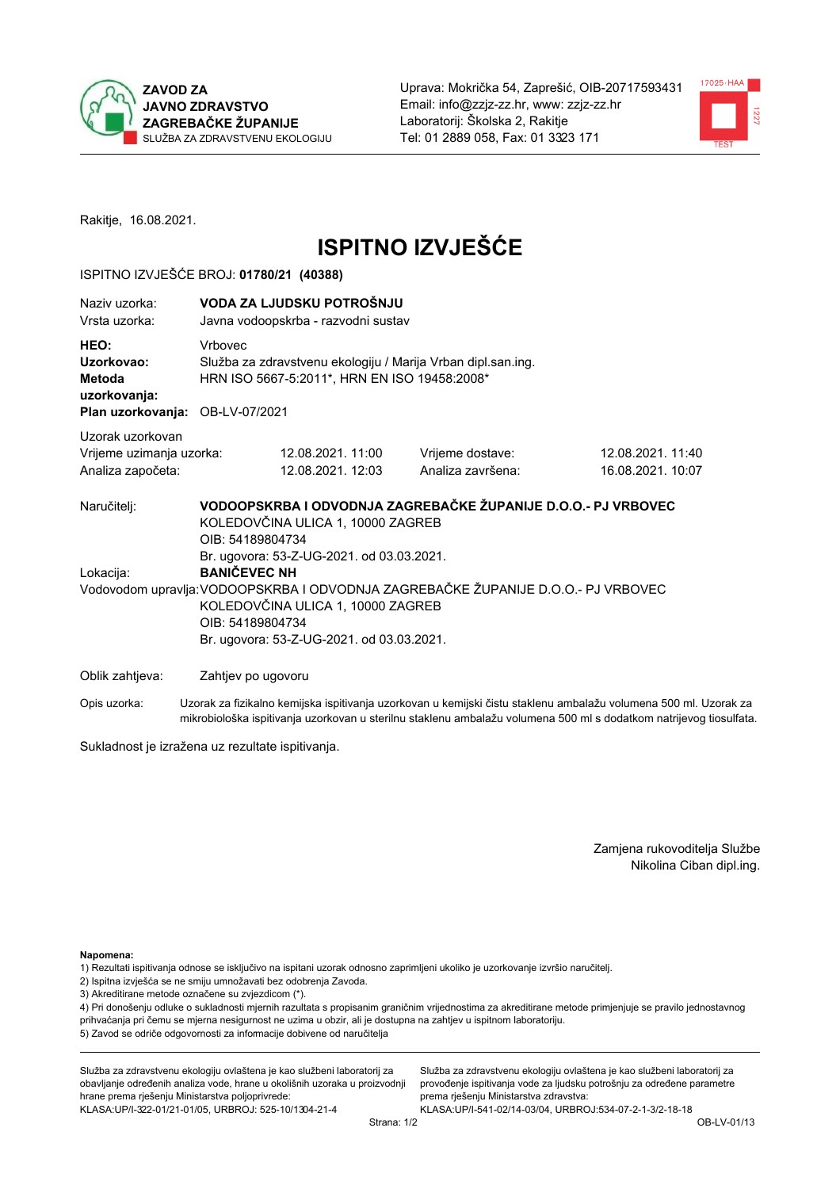



Rakitje, 16.08.2021.

# **ISPITNO IZVJEŠĆE**

## ISPITNO IZVJEŠĆE BROJ: 01780/21 (40388)

| Naziv uzorka:<br>Vrsta uzorka:                                                  |                    | VODA ZA LJUDSKU POTROŠNJU<br>Javna vodoopskrba - razvodni sustav                                                                                                                                                                                                                |                                       |                                        |  |  |
|---------------------------------------------------------------------------------|--------------------|---------------------------------------------------------------------------------------------------------------------------------------------------------------------------------------------------------------------------------------------------------------------------------|---------------------------------------|----------------------------------------|--|--|
| HEO:<br>Uzorkovao:<br>Metoda<br>uzorkovanja:<br>Plan uzorkovanja: OB-LV-07/2021 | Vrbovec            | Služba za zdravstvenu ekologiju / Marija Vrban dipl.san.ing.<br>HRN ISO 5667-5:2011*, HRN EN ISO 19458:2008*                                                                                                                                                                    |                                       |                                        |  |  |
| Uzorak uzorkovan<br>Vrijeme uzimanja uzorka:<br>Analiza započeta:               |                    | 12.08.2021. 11:00<br>12.08.2021. 12:03                                                                                                                                                                                                                                          | Vrijeme dostave:<br>Analiza završena: | 12.08.2021. 11:40<br>16.08.2021. 10:07 |  |  |
| Naručitelj:<br>Lokacija:                                                        |                    | VODOOPSKRBA I ODVODNJA ZAGREBAČKE ŽUPANIJE D.O.O.- PJ VRBOVEC<br>KOLEDOVČINA ULICA 1, 10000 ZAGREB<br>OIB: 54189804734<br>Br. ugovora: 53-Z-UG-2021. od 03.03.2021.<br><b>BANIČEVEC NH</b><br>Vodovodom upravlja: VODOOPSKRBA I ODVODNJA ZAGREBAČKE ŽUPANIJE D.O.O.- PJ VRBOVEC |                                       |                                        |  |  |
|                                                                                 | OIB: 54189804734   | KOLEDOVČINA ULICA 1, 10000 ZAGREB<br>Br. ugovora: 53-Z-UG-2021. od 03.03.2021.                                                                                                                                                                                                  |                                       |                                        |  |  |
| Oblik zahtjeva:                                                                 | Zahtjev po ugovoru | .                                                                                                                                                                                                                                                                               |                                       |                                        |  |  |

Opis uzorka: Uzorak za fizikalno kemijska ispitivanja uzorkovan u kemijski čistu staklenu ambalažu volumena 500 ml. Uzorak za mikrobiološka ispitivanja uzorkovan u sterilnu staklenu ambalažu volumena 500 ml s dodatkom natrijevog tiosulfata.

Sukladnost je izražena uz rezultate ispitivanja.

Zamjena rukovoditelja Službe Nikolina Ciban dipl.ing.

Napomena:

1) Rezultati ispitivanja odnose se isključivo na ispitani uzorak odnosno zaprimljeni ukoliko je uzorkovanje izvršio naručitelj.

- 2) Ispitna izvješća se ne smiju umnožavati bez odobrenja Zavoda.
- 3) Akreditirane metode označene su zvjezdicom (\*).

4) Pri donošenju odluke o sukladnosti mjernih razultata s propisanim graničnim vrijednostima za akreditirane metode primjenjuje se pravilo jednostavnog prihvaćanja pri čemu se mjerna nesigurnost ne uzima u obzir, ali je dostupna na zahtjev u ispitnom laboratoriju. 5) Zavod se odriče odgovornosti za informacije dobivene od naručitelja

Služba za zdravstvenu ekologiju ovlaštena je kao službeni laboratorij za obavljanje određenih analiza vode, hrane u okolišnih uzoraka u proizvodnji hrane prema rješenju Ministarstva poljoprivrede: KLASA:UP/I-322-01/21-01/05, URBROJ: 525-10/1304-21-4

Služba za zdravstvenu ekologiju ovlaštena je kao službeni laboratorij za provođenje ispitivanja vode za ljudsku potrošnju za određene parametre prema rješenju Ministarstva zdravstva: